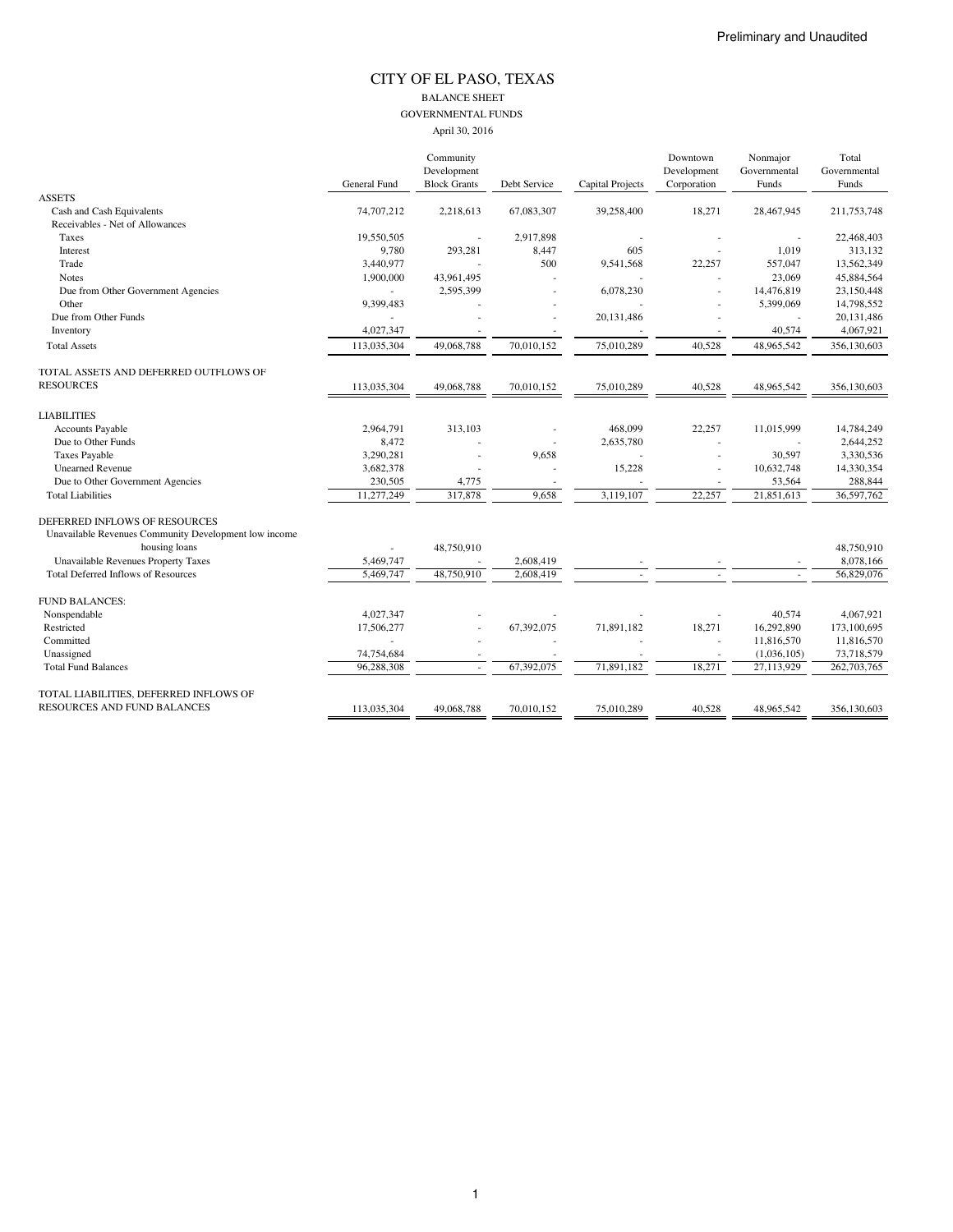#### CITY OF EL PASO, TEXAS BALANCE SHEET GOVERNMENTAL FUNDS April 30, 2016

|                                                       |              | Community           |              |                         | Downtown    | Nonmajor     | Total        |
|-------------------------------------------------------|--------------|---------------------|--------------|-------------------------|-------------|--------------|--------------|
|                                                       |              | Development         |              |                         | Development | Governmental | Governmental |
|                                                       | General Fund | <b>Block Grants</b> | Debt Service | <b>Capital Projects</b> | Corporation | Funds        | Funds        |
| <b>ASSETS</b>                                         |              |                     |              |                         |             |              |              |
| Cash and Cash Equivalents                             | 74,707,212   | 2,218,613           | 67,083,307   | 39,258,400              | 18,271      | 28,467,945   | 211,753,748  |
| Receivables - Net of Allowances                       |              |                     |              |                         |             |              |              |
| Taxes                                                 | 19,550,505   |                     | 2,917,898    |                         |             |              | 22,468,403   |
| Interest                                              | 9,780        | 293,281             | 8,447        | 605                     |             | 1,019        | 313,132      |
| Trade                                                 | 3,440,977    |                     | 500          | 9,541,568               | 22,257      | 557,047      | 13,562,349   |
| <b>Notes</b>                                          | 1,900,000    | 43,961,495          |              |                         |             | 23,069       | 45,884,564   |
| Due from Other Government Agencies                    | ä,           | 2,595,399           | ä,           | 6,078,230               |             | 14,476,819   | 23,150,448   |
| Other                                                 | 9,399,483    |                     |              |                         |             | 5,399,069    | 14,798,552   |
| Due from Other Funds                                  |              |                     |              | 20,131,486              |             |              | 20,131,486   |
| Inventory                                             | 4,027,347    |                     | ×,           |                         |             | 40,574       | 4,067,921    |
| <b>Total Assets</b>                                   | 113,035,304  | 49,068,788          | 70,010,152   | 75,010,289              | 40,528      | 48,965,542   | 356,130,603  |
| TOTAL ASSETS AND DEFERRED OUTFLOWS OF                 |              |                     |              |                         |             |              |              |
| <b>RESOURCES</b>                                      | 113,035,304  | 49,068,788          | 70,010,152   | 75,010,289              | 40,528      | 48,965,542   | 356,130,603  |
| <b>LIABILITIES</b>                                    |              |                     |              |                         |             |              |              |
| Accounts Payable                                      | 2,964,791    | 313,103             |              | 468,099                 | 22,257      | 11,015,999   | 14,784,249   |
| Due to Other Funds                                    | 8,472        |                     |              | 2,635,780               |             |              | 2,644,252    |
| <b>Taxes Payable</b>                                  | 3,290,281    |                     | 9,658        |                         |             | 30,597       | 3,330,536    |
| <b>Unearned Revenue</b>                               | 3,682,378    |                     |              | 15,228                  |             | 10,632,748   | 14,330,354   |
| Due to Other Government Agencies                      | 230,505      | 4,775               |              |                         |             | 53,564       | 288,844      |
| <b>Total Liabilities</b>                              | 11,277,249   | 317,878             | 9,658        | 3,119,107               | 22,257      | 21,851,613   | 36,597,762   |
| DEFERRED INFLOWS OF RESOURCES                         |              |                     |              |                         |             |              |              |
| Unavailable Revenues Community Development low income |              |                     |              |                         |             |              |              |
| housing loans                                         |              | 48,750,910          |              |                         |             |              | 48,750,910   |
| Unavailable Revenues Property Taxes                   | 5,469,747    |                     | 2,608,419    |                         |             |              | 8,078,166    |
| <b>Total Deferred Inflows of Resources</b>            | 5,469,747    | 48,750,910          | 2,608,419    |                         |             |              | 56,829,076   |
| <b>FUND BALANCES:</b>                                 |              |                     |              |                         |             |              |              |
| Nonspendable                                          | 4,027,347    |                     |              |                         |             | 40,574       | 4,067,921    |
| Restricted                                            | 17,506,277   |                     | 67,392,075   | 71,891,182              | 18,271      | 16,292,890   | 173,100,695  |
| Committed                                             |              |                     |              |                         |             | 11,816,570   | 11,816,570   |
| Unassigned                                            | 74,754,684   |                     |              |                         |             | (1,036,105)  | 73,718,579   |
| <b>Total Fund Balances</b>                            | 96,288,308   |                     | 67,392,075   | 71,891,182              | 18,271      | 27,113,929   | 262,703,765  |
| TOTAL LIABILITIES, DEFERRED INFLOWS OF                |              |                     |              |                         |             |              |              |
| <b>RESOURCES AND FUND BALANCES</b>                    | 113,035,304  | 49,068,788          | 70.010.152   | 75.010.289              | 40,528      | 48,965,542   | 356,130,603  |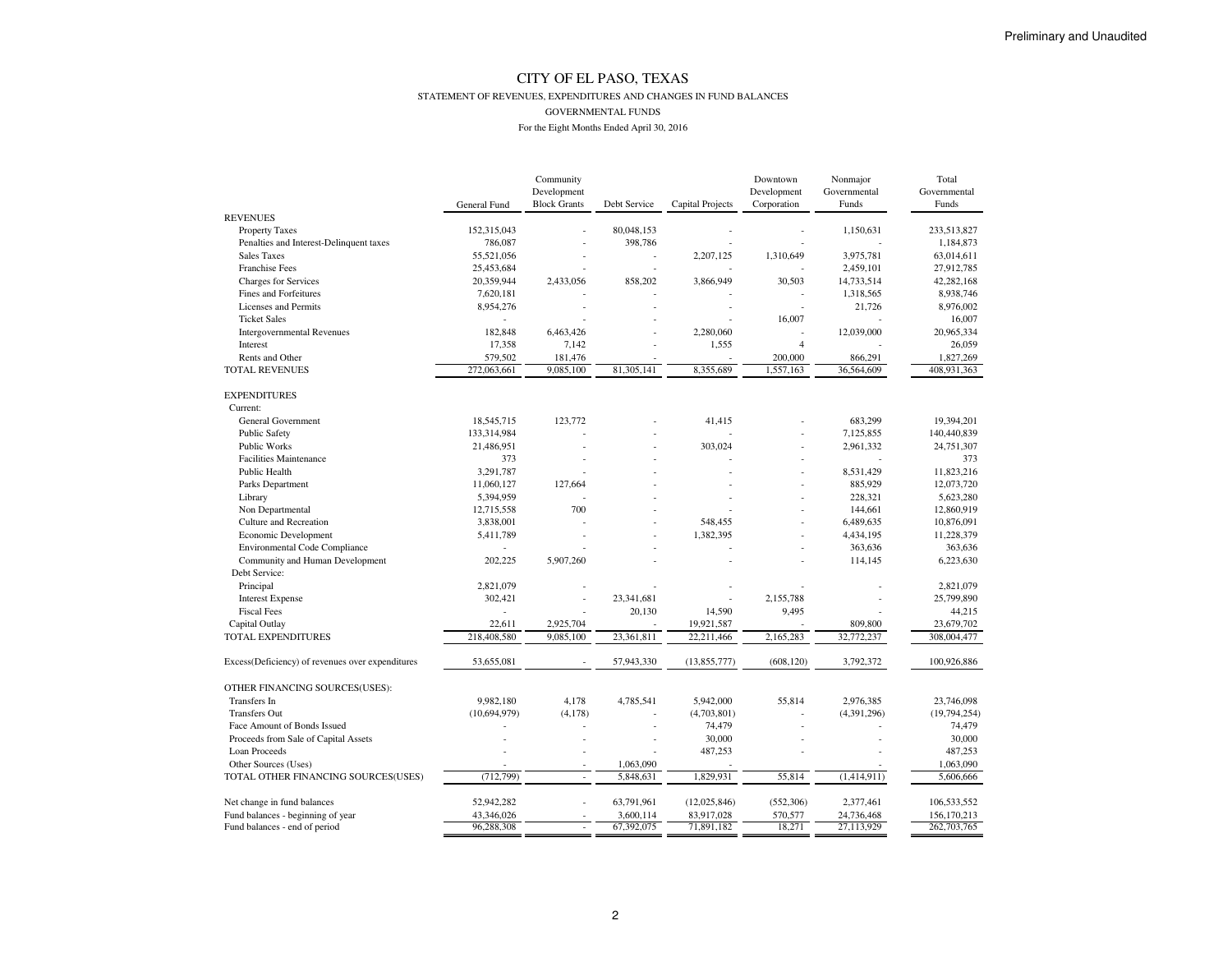#### STATEMENT OF REVENUES, EXPENDITURES AND CHANGES IN FUND BALANCES

GOVERNMENTAL FUNDS

|                                                  |                | Community                |              |                         | Downtown       | Nonmajor     | Total         |
|--------------------------------------------------|----------------|--------------------------|--------------|-------------------------|----------------|--------------|---------------|
|                                                  |                | Development              |              |                         | Development    | Governmental | Governmental  |
|                                                  | General Fund   | <b>Block Grants</b>      | Debt Service | <b>Capital Projects</b> | Corporation    | Funds        | Funds         |
| <b>REVENUES</b>                                  |                |                          |              |                         |                |              |               |
| <b>Property Taxes</b>                            | 152,315,043    |                          | 80,048,153   |                         |                | 1,150,631    | 233,513,827   |
| Penalties and Interest-Delinquent taxes          | 786,087        |                          | 398,786      |                         |                |              | 1,184,873     |
| <b>Sales Taxes</b>                               | 55,521,056     |                          |              | 2,207,125               | 1,310,649      | 3,975,781    | 63,014,611    |
| Franchise Fees                                   | 25,453,684     |                          | L,           |                         |                | 2,459,101    | 27,912,785    |
| <b>Charges for Services</b>                      | 20,359,944     | 2,433,056                | 858,202      | 3,866,949               | 30,503         | 14,733,514   | 42,282,168    |
| Fines and Forfeitures                            | 7,620,181      |                          |              |                         |                | 1,318,565    | 8,938,746     |
| Licenses and Permits                             | 8,954,276      |                          |              |                         |                | 21,726       | 8,976,002     |
| <b>Ticket Sales</b>                              | ٠              |                          |              |                         | 16,007         |              | 16,007        |
| <b>Intergovernmental Revenues</b>                | 182,848        | 6,463,426                |              | 2,280,060               |                | 12,039,000   | 20,965,334    |
| Interest                                         | 17,358         | 7,142                    |              | 1,555                   | $\overline{4}$ |              | 26,059        |
| Rents and Other                                  | 579,502        | 181,476                  |              |                         | 200,000        | 866,291      | 1,827,269     |
| <b>TOTAL REVENUES</b>                            | 272,063,661    | 9,085,100                | 81,305,141   | 8,355,689               | 1,557,163      | 36,564,609   | 408,931,363   |
|                                                  |                |                          |              |                         |                |              |               |
| <b>EXPENDITURES</b>                              |                |                          |              |                         |                |              |               |
| Current:                                         |                |                          |              |                         |                |              |               |
| General Government                               | 18,545,715     | 123,772                  |              | 41,415                  |                | 683,299      | 19,394,201    |
| <b>Public Safety</b>                             | 133,314,984    |                          |              |                         | $\overline{a}$ | 7,125,855    | 140,440,839   |
| <b>Public Works</b>                              | 21,486,951     |                          |              | 303,024                 |                | 2,961,332    | 24,751,307    |
| <b>Facilities Maintenance</b>                    | 373            |                          |              |                         |                |              | 373           |
| Public Health                                    | 3,291,787      |                          |              |                         |                | 8,531,429    | 11,823,216    |
| Parks Department                                 | 11,060,127     | 127,664                  |              |                         | $\overline{a}$ | 885,929      | 12,073,720    |
| Library                                          | 5,394,959      |                          |              |                         |                | 228,321      | 5,623,280     |
| Non Departmental                                 | 12,715,558     | 700                      |              |                         |                | 144,661      | 12,860,919    |
| Culture and Recreation                           | 3,838,001      |                          |              | 548,455                 |                | 6,489,635    | 10,876,091    |
| Economic Development                             | 5,411,789      |                          |              | 1,382,395               |                | 4,434,195    | 11,228,379    |
| <b>Environmental Code Compliance</b>             | ÷              |                          |              |                         |                | 363,636      | 363,636       |
| Community and Human Development                  | 202,225        | 5,907,260                |              |                         |                | 114,145      | 6,223,630     |
| Debt Service:                                    |                |                          |              |                         |                |              |               |
| Principal                                        | 2,821,079      |                          |              |                         |                |              | 2,821,079     |
| <b>Interest Expense</b>                          | 302,421        |                          | 23,341,681   |                         | 2,155,788      |              | 25,799,890    |
| <b>Fiscal Fees</b>                               |                |                          | 20,130       | 14,590                  | 9,495          |              | 44,215        |
| Capital Outlay                                   | 22,611         | 2,925,704                |              | 19,921,587              |                | 809,800      | 23,679,702    |
| TOTAL EXPENDITURES                               | 218,408,580    | 9,085,100                | 23,361,811   | 22,211,466              | 2,165,283      | 32,772,237   | 308,004,477   |
| Excess(Deficiency) of revenues over expenditures | 53,655,081     | $\overline{\phantom{a}}$ | 57,943,330   | (13,855,777)            | (608, 120)     | 3,792,372    | 100,926,886   |
| OTHER FINANCING SOURCES(USES):                   |                |                          |              |                         |                |              |               |
| Transfers In                                     | 9,982,180      | 4,178                    | 4,785,541    | 5,942,000               | 55,814         | 2,976,385    | 23,746,098    |
| <b>Transfers Out</b>                             | (10, 694, 979) | (4, 178)                 |              | (4,703,801)             |                | (4,391,296)  | (19,794,254)  |
| Face Amount of Bonds Issued                      |                | L,                       |              | 74,479                  |                |              | 74,479        |
| Proceeds from Sale of Capital Assets             |                |                          |              | 30,000                  |                |              | 30,000        |
| Loan Proceeds                                    |                |                          |              | 487,253                 |                |              | 487,253       |
| Other Sources (Uses)                             |                |                          | 1,063,090    |                         |                |              | 1,063,090     |
| TOTAL OTHER FINANCING SOURCES(USES)              | (712, 799)     | $\overline{a}$           | 5,848,631    | 1,829,931               | 55,814         | (1,414,911)  | 5,606,666     |
|                                                  |                |                          |              |                         |                |              |               |
| Net change in fund balances                      | 52,942,282     |                          | 63,791,961   | (12,025,846)            | (552, 306)     | 2,377,461    | 106,533,552   |
| Fund balances - beginning of year                | 43,346,026     |                          | 3,600,114    | 83,917,028              | 570,577        | 24,736,468   | 156, 170, 213 |
| Fund balances - end of period                    | 96,288,308     |                          | 67,392,075   | 71,891,182              | 18,271         | 27,113,929   | 262,703,765   |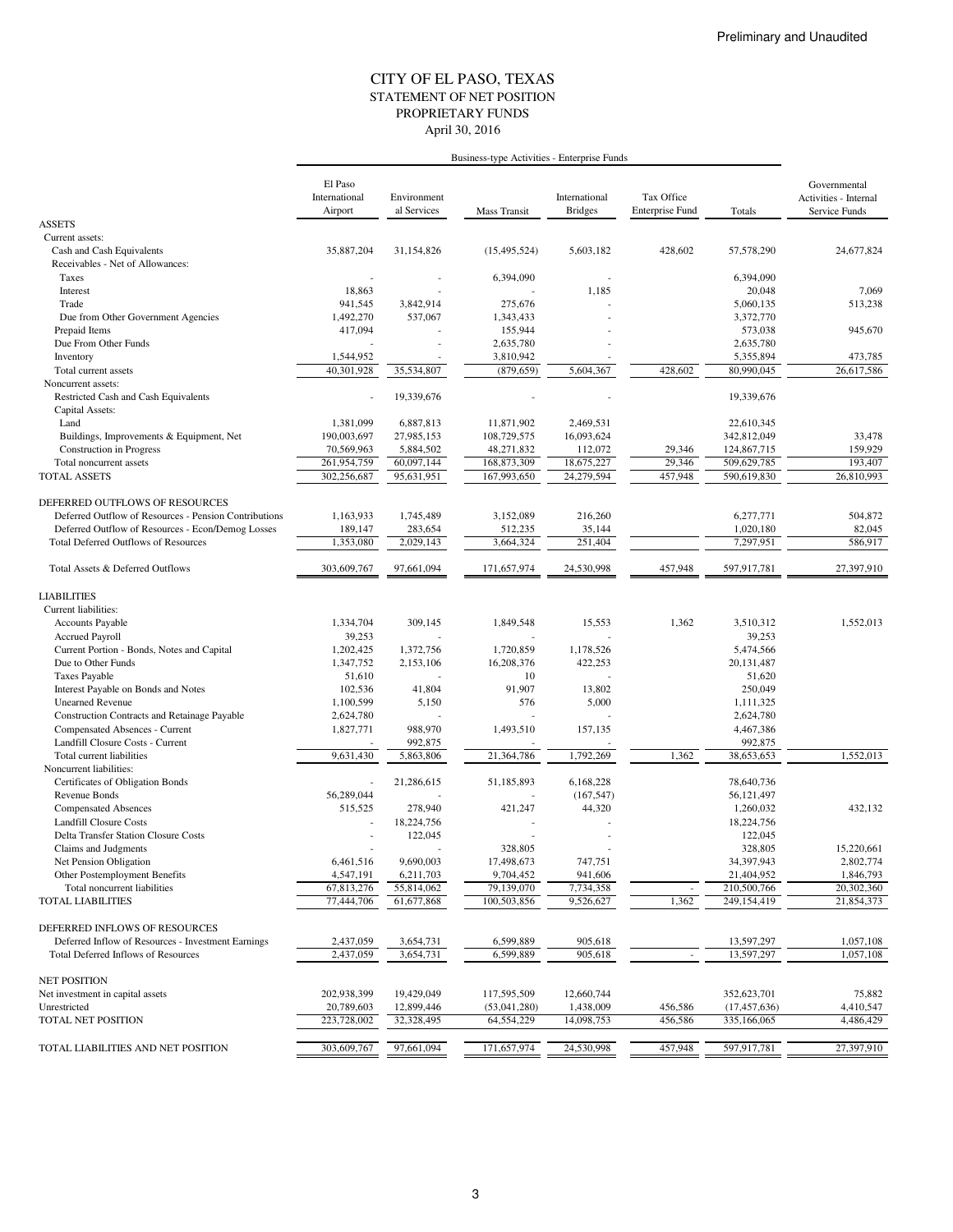#### STATEMENT OF NET POSITION CITY OF EL PASO, TEXAS April 30, 2016 PROPRIETARY FUNDS

|                                                                                         | Business-type Activities - Enterprise Funds |                            |                  |                                 |                                      |                         |                                                        |
|-----------------------------------------------------------------------------------------|---------------------------------------------|----------------------------|------------------|---------------------------------|--------------------------------------|-------------------------|--------------------------------------------------------|
|                                                                                         | El Paso<br>International<br>Airport         | Environment<br>al Services | Mass Transit     | International<br><b>Bridges</b> | Tax Office<br><b>Enterprise Fund</b> | Totals                  | Governmental<br>Activities - Internal<br>Service Funds |
| <b>ASSETS</b>                                                                           |                                             |                            |                  |                                 |                                      |                         |                                                        |
| Current assets:                                                                         |                                             |                            |                  |                                 |                                      |                         |                                                        |
| Cash and Cash Equivalents<br>Receivables - Net of Allowances:                           | 35,887,204                                  | 31,154,826                 | (15, 495, 524)   | 5,603,182                       | 428,602                              | 57,578,290              | 24,677,824                                             |
| Taxes                                                                                   |                                             |                            | 6,394,090        |                                 |                                      | 6,394,090               |                                                        |
| Interest                                                                                | 18,863                                      |                            |                  | 1,185                           |                                      | 20,048                  | 7,069                                                  |
| Trade                                                                                   | 941,545                                     | 3,842,914                  | 275,676          |                                 |                                      | 5,060,135               | 513,238                                                |
| Due from Other Government Agencies                                                      | 1,492,270                                   | 537,067                    | 1,343,433        |                                 |                                      | 3,372,770               |                                                        |
| Prepaid Items                                                                           | 417,094                                     |                            | 155,944          |                                 |                                      | 573,038                 | 945,670                                                |
| Due From Other Funds                                                                    |                                             |                            | 2,635,780        |                                 |                                      | 2,635,780               |                                                        |
| Inventory                                                                               | 1,544,952                                   |                            | 3,810,942        |                                 |                                      | 5,355,894               | 473,785                                                |
| Total current assets<br>Noncurrent assets:                                              | 40,301,928                                  | 35,534,807                 | (879, 659)       | 5,604,367                       | 428,602                              | 80,990,045              | 26,617,586                                             |
| Restricted Cash and Cash Equivalents                                                    | $\sim$                                      | 19,339,676                 |                  |                                 |                                      | 19,339,676              |                                                        |
| Capital Assets:                                                                         |                                             |                            |                  |                                 |                                      |                         |                                                        |
| Land                                                                                    | 1,381,099                                   | 6,887,813                  | 11,871,902       | 2,469,531                       |                                      | 22,610,345              |                                                        |
| Buildings, Improvements & Equipment, Net                                                | 190,003,697                                 | 27,985,153                 | 108,729,575      | 16,093,624                      |                                      | 342,812,049             | 33,478                                                 |
| <b>Construction</b> in Progress                                                         | 70,569,963                                  | 5,884,502                  | 48,271,832       | 112,072                         | 29,346                               | 124,867,715             | 159,929                                                |
| Total noncurrent assets                                                                 | 261,954,759                                 | 60,097,144                 | 168,873,309      | 18,675,227                      | 29,346                               | 509,629,785             | 193,407                                                |
| <b>TOTAL ASSETS</b>                                                                     | 302,256,687                                 | 95,631,951                 | 167,993,650      | 24,279,594                      | 457,948                              | 590,619,830             | 26,810,993                                             |
|                                                                                         |                                             |                            |                  |                                 |                                      |                         |                                                        |
| DEFERRED OUTFLOWS OF RESOURCES<br>Deferred Outflow of Resources - Pension Contributions | 1,163,933                                   | 1,745,489                  | 3,152,089        | 216,260                         |                                      | 6,277,771               | 504,872                                                |
| Deferred Outflow of Resources - Econ/Demog Losses                                       | 189,147                                     | 283,654                    | 512,235          | 35,144                          |                                      | 1,020,180               | 82,045                                                 |
| <b>Total Deferred Outflows of Resources</b>                                             | 1,353,080                                   | 2.029.143                  | 3,664,324        | 251,404                         |                                      | 7,297,951               | 586,917                                                |
|                                                                                         |                                             |                            |                  |                                 |                                      |                         |                                                        |
| Total Assets & Deferred Outflows                                                        | 303,609,767                                 | 97,661,094                 | 171,657,974      | 24,530,998                      | 457,948                              | 597,917,781             | 27,397,910                                             |
| <b>LIABILITIES</b>                                                                      |                                             |                            |                  |                                 |                                      |                         |                                                        |
| Current liabilities:                                                                    |                                             |                            |                  |                                 |                                      |                         |                                                        |
| Accounts Payable                                                                        | 1,334,704                                   | 309,145                    | 1,849,548        | 15,553                          | 1,362                                | 3,510,312               | 1,552,013                                              |
| <b>Accrued Payroll</b>                                                                  | 39,253                                      |                            |                  |                                 |                                      | 39,253                  |                                                        |
| Current Portion - Bonds, Notes and Capital                                              | 1,202,425                                   | 1,372,756                  | 1,720,859        | 1,178,526                       |                                      | 5,474,566               |                                                        |
| Due to Other Funds<br><b>Taxes Payable</b>                                              | 1,347,752<br>51,610                         | 2,153,106                  | 16,208,376<br>10 | 422,253                         |                                      | 20, 131, 487<br>51,620  |                                                        |
| Interest Payable on Bonds and Notes                                                     | 102,536                                     | 41,804                     | 91,907           | 13,802                          |                                      | 250,049                 |                                                        |
| <b>Unearned Revenue</b>                                                                 | 1,100,599                                   | 5,150                      | 576              | 5,000                           |                                      | 1,111,325               |                                                        |
| Construction Contracts and Retainage Payable                                            | 2,624,780                                   |                            |                  |                                 |                                      | 2,624,780               |                                                        |
| Compensated Absences - Current                                                          | 1,827,771                                   | 988,970                    | 1,493,510        | 157,135                         |                                      | 4,467,386               |                                                        |
| Landfill Closure Costs - Current                                                        |                                             | 992,875                    |                  |                                 |                                      | 992,875                 |                                                        |
| Total current liabilities                                                               | 9,631,430                                   | 5,863,806                  | 21,364,786       | 1,792,269                       | 1,362                                | 38,653,653              | 1,552,013                                              |
| Noncurrent liabilities:                                                                 |                                             |                            |                  |                                 |                                      |                         |                                                        |
| Certificates of Obligation Bonds                                                        |                                             | 21,286,615                 | 51,185,893       | 6,168,228                       |                                      | 78,640,736              |                                                        |
| Revenue Bonds<br><b>Compensated Absences</b>                                            | 56,289,044<br>515,525                       | 278,940                    | 421,247          | (167, 547)<br>44,320            |                                      | 56,121,497<br>1,260,032 | 432,132                                                |
| <b>Landfill Closure Costs</b>                                                           |                                             | 18,224,756                 |                  |                                 |                                      | 18,224,756              |                                                        |
| <b>Delta Transfer Station Closure Costs</b>                                             |                                             | 122,045                    | ä,               |                                 |                                      | 122,045                 |                                                        |
| Claims and Judgments                                                                    | $\overline{\phantom{a}}$                    |                            | 328,805          |                                 |                                      | 328,805                 | 15,220,661                                             |
| Net Pension Obligation                                                                  | 6,461,516                                   | 9,690,003                  | 17,498,673       | 747,751                         |                                      | 34,397,943              | 2,802,774                                              |
| Other Postemployment Benefits                                                           | 4,547,191                                   | 6,211,703                  | 9,704,452        | 941,606                         |                                      | 21,404,952              | 1,846,793                                              |
| Total noncurrent liabilities                                                            | 67,813,276                                  | 55,814,062                 | 79,139,070       | 7,734,358                       |                                      | 210,500,766             | 20,302,360                                             |
| <b>TOTAL LIABILITIES</b>                                                                | 77,444,706                                  | 61,677,868                 | 100,503,856      | 9,526,627                       | 1,362                                | 249,154,419             | 21,854,373                                             |
| DEFERRED INFLOWS OF RESOURCES                                                           |                                             |                            |                  |                                 |                                      |                         |                                                        |
| Deferred Inflow of Resources - Investment Earnings                                      | 2,437,059                                   | 3,654,731                  | 6,599,889        | 905,618                         |                                      | 13,597,297              | 1,057,108                                              |
| Total Deferred Inflows of Resources                                                     | 2,437,059                                   | 3,654,731                  | 6,599,889        | 905,618                         |                                      | 13,597,297              | 1,057,108                                              |
| <b>NET POSITION</b>                                                                     |                                             |                            |                  |                                 |                                      |                         |                                                        |
| Net investment in capital assets                                                        | 202,938,399                                 | 19,429,049                 | 117,595,509      | 12,660,744                      |                                      | 352,623,701             | 75,882                                                 |
| Unrestricted                                                                            | 20,789,603                                  | 12,899,446                 | (53,041,280)     | 1,438,009                       | 456,586                              | (17, 457, 636)          | 4,410,547                                              |
| TOTAL NET POSITION                                                                      | 223,728,002                                 | 32,328,495                 | 64,554,229       | 14,098,753                      | 456,586                              | 335,166,065             | 4,486,429                                              |
|                                                                                         |                                             |                            |                  |                                 |                                      |                         |                                                        |
| TOTAL LIABILITIES AND NET POSITION                                                      | 303,609,767                                 | 97,661,094                 | 171,657,974      | 24,530,998                      | 457,948                              | 597,917,781             | 27,397,910                                             |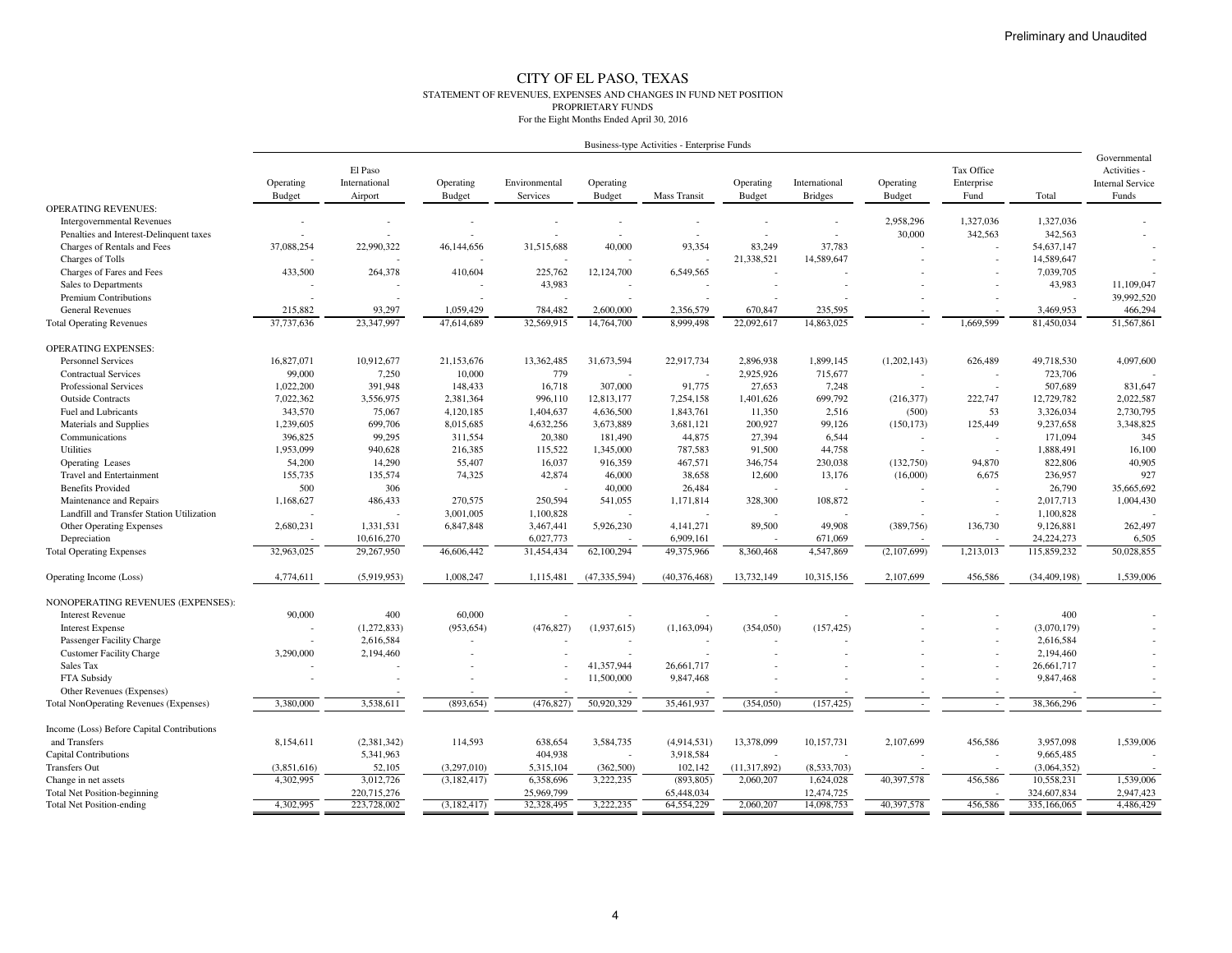#### CITY OF EL PASO, TEXAS STATEMENT OF REVENUES, EXPENSES AND CHANGES IN FUND NET POSITIONPROPRIETARY FUNDSFor the Eight Months Ended April 30, 2016

| Business-type Activities - Enterprise Funds |
|---------------------------------------------|
|---------------------------------------------|

|                                               | Operating<br><b>Budget</b> | El Paso<br>International<br>Airport | Operating<br>Budget | Environmental<br>Services | Operating<br><b>Budget</b> | Mass Transit   | Operating<br><b>Budget</b> | International<br><b>Bridges</b> | Operating<br><b>Budget</b> | Tax Office<br>Enterprise<br>Fund | Total                    | Governmental<br>Activities -<br><b>Internal Service</b><br>Funds |
|-----------------------------------------------|----------------------------|-------------------------------------|---------------------|---------------------------|----------------------------|----------------|----------------------------|---------------------------------|----------------------------|----------------------------------|--------------------------|------------------------------------------------------------------|
| <b>OPERATING REVENUES:</b>                    |                            |                                     |                     |                           |                            |                |                            |                                 |                            |                                  |                          |                                                                  |
| <b>Intergovernmental Revenues</b>             |                            |                                     |                     |                           |                            |                |                            |                                 | 2,958,296                  | 1,327,036                        | 1,327,036                |                                                                  |
| Penalties and Interest-Delinquent taxes       |                            |                                     |                     |                           |                            |                |                            | $\overline{\phantom{a}}$        | 30,000                     | 342,563                          | 342,563                  |                                                                  |
| Charges of Rentals and Fees                   | 37,088,254                 | 22,990,322                          | 46,144,656          | 31,515,688                | 40,000                     | 93,354         | 83,249                     | 37,783                          |                            |                                  | 54,637,147               |                                                                  |
| Charges of Tolls                              |                            |                                     |                     |                           |                            |                | 21,338,521                 | 14,589,647                      |                            |                                  | 14,589,647               |                                                                  |
| Charges of Fares and Fees                     | 433,500                    | 264,378                             | 410,604             | 225,762                   | 12,124,700                 | 6,549,565      |                            |                                 |                            |                                  | 7,039,705                |                                                                  |
| Sales to Departments                          |                            |                                     |                     | 43,983                    |                            |                |                            |                                 |                            |                                  | 43,983                   | 11,109,047                                                       |
| <b>Premium Contributions</b>                  |                            |                                     |                     |                           |                            |                |                            |                                 |                            |                                  | $\overline{\phantom{a}}$ | 39,992,520                                                       |
| <b>General Revenues</b>                       | 215,882                    | 93,297                              | 1,059,429           | 784,482                   | 2,600,000                  | 2,356,579      | 670,847                    | 235,595                         |                            |                                  | 3,469,953                | 466,294                                                          |
| <b>Total Operating Revenues</b>               | 37,737,636                 | 23,347,997                          | 47,614,689          | 32,569,915                | 14,764,700                 | 8,999,498      | 22,092,617                 | 14,863,025                      |                            | 1,669,599                        | 81,450,034               | 51,567,861                                                       |
| <b>OPERATING EXPENSES:</b>                    |                            |                                     |                     |                           |                            |                |                            |                                 |                            |                                  |                          |                                                                  |
| <b>Personnel Services</b>                     | 16,827,071                 | 10,912,677                          | 21,153,676          | 13,362,485                | 31,673,594                 | 22,917,734     | 2,896,938                  | 1,899,145                       | (1,202,143)                | 626,489                          | 49,718,530               | 4,097,600                                                        |
| <b>Contractual Services</b>                   | 99,000                     | 7,250                               | 10,000              | 779                       |                            |                | 2,925,926                  | 715,677                         |                            |                                  | 723,706                  |                                                                  |
| Professional Services                         | 1,022,200                  | 391,948                             | 148,433             | 16,718                    | 307,000                    | 91,775         | 27,653                     | 7,248                           |                            |                                  | 507,689                  | 831,647                                                          |
| <b>Outside Contracts</b>                      | 7,022,362                  | 3,556,975                           | 2,381,364           | 996,110                   | 12,813,177                 | 7,254,158      | 1,401,626                  | 699,792                         | (216,377)                  | 222,747                          | 12,729,782               | 2,022,587                                                        |
| Fuel and Lubricants                           | 343,570                    | 75,067                              | 4,120,185           | 1,404,637                 | 4,636,500                  | 1,843,761      | 11,350                     | 2,516                           | (500)                      | 53                               | 3,326,034                | 2,730,795                                                        |
| Materials and Supplies                        | 1,239,605                  | 699,706                             | 8,015,685           | 4,632,256                 | 3,673,889                  | 3,681,121      | 200,927                    | 99,126                          | (150, 173)                 | 125,449                          | 9,237,658                | 3,348,825                                                        |
| Communications                                | 396,825                    | 99,295                              | 311,554             | 20,380                    | 181,490                    | 44,875         | 27,394                     | 6,544                           |                            |                                  | 171,094                  | 345                                                              |
| Utilities                                     | 1,953,099                  | 940,628                             | 216,385             | 115,522                   | 1,345,000                  | 787,583        | 91,500                     | 44,758                          |                            |                                  | 1,888,491                | 16,100                                                           |
| Operating Leases                              | 54,200                     | 14,290                              | 55,407              | 16,037                    | 916,359                    | 467,571        | 346,754                    | 230,038                         | (132,750)                  | 94,870                           | 822,806                  | 40,905                                                           |
| <b>Travel and Entertainment</b>               | 155,735                    | 135,574                             | 74,325              | 42,874                    | 46,000                     | 38,658         | 12,600                     | 13,176                          | (16,000)                   | 6,675                            | 236,957                  | 927                                                              |
| <b>Benefits Provided</b>                      | 500                        | 306                                 |                     |                           | 40,000                     | 26,484         |                            |                                 |                            |                                  | 26,790                   | 35,665,692                                                       |
| Maintenance and Repairs                       | 1,168,627                  | 486,433                             | 270,575             | 250,594                   | 541,055                    | 1,171,814      | 328,300                    | 108,872                         | ÷                          |                                  | 2,017,713                | 1,004,430                                                        |
| Landfill and Transfer Station Utilization     |                            |                                     | 3,001,005           | 1,100,828                 |                            |                |                            |                                 |                            |                                  | 1,100,828                |                                                                  |
| <b>Other Operating Expenses</b>               | 2,680,231                  | 1,331,531                           | 6,847,848           | 3,467,441                 | 5,926,230                  | 4,141,271      | 89,500                     | 49,908                          | (389, 756)                 | 136,730                          | 9,126,881                | 262,497                                                          |
| Depreciation                                  |                            | 10,616,270                          |                     | 6,027,773                 |                            | 6,909,161      |                            | 671,069                         |                            |                                  | 24, 224, 273             | 6,505                                                            |
| <b>Total Operating Expenses</b>               | 32,963,025                 | 29,267,950                          | 46,606,442          | 31.454.434                | 62,100,294                 | 49,375,966     | 8,360,468                  | 4,547,869                       | (2,107,699)                | 1,213,013                        | 115,859,232              | 50,028,855                                                       |
| Operating Income (Loss)                       | 4,774,611                  | (5,919,953)                         | 1,008,247           | 1,115,481                 | (47, 335, 594)             | (40, 376, 468) | 13,732,149                 | 10,315,156                      | 2,107,699                  | 456,586                          | (34, 409, 198)           | 1,539,006                                                        |
| NONOPERATING REVENUES (EXPENSES):             |                            |                                     |                     |                           |                            |                |                            |                                 |                            |                                  |                          |                                                                  |
| <b>Interest Revenue</b>                       | 90,000                     | 400                                 | 60,000              |                           |                            |                |                            |                                 |                            |                                  | 400                      |                                                                  |
| <b>Interest Expense</b>                       |                            | (1,272,833)                         | (953, 654)          | (476, 827)                | (1,937,615)                | (1,163,094)    | (354,050)                  | (157, 425)                      |                            |                                  | (3,070,179)              |                                                                  |
| Passenger Facility Charge                     |                            | 2,616,584                           |                     |                           |                            |                |                            |                                 |                            |                                  | 2,616,584                |                                                                  |
| <b>Customer Facility Charge</b>               | 3,290,000                  | 2,194,460                           |                     |                           |                            |                |                            |                                 |                            |                                  | 2,194,460                |                                                                  |
| Sales Tax                                     |                            |                                     |                     |                           | 41,357,944                 | 26,661,717     |                            |                                 |                            |                                  | 26,661,717               |                                                                  |
| FTA Subsidy                                   |                            |                                     |                     |                           | 11,500,000                 | 9,847,468      |                            |                                 |                            |                                  | 9,847,468                |                                                                  |
| Other Revenues (Expenses)                     |                            |                                     |                     |                           |                            |                |                            |                                 |                            |                                  |                          |                                                                  |
| <b>Total NonOperating Revenues (Expenses)</b> | 3,380,000                  | 3,538,611                           | (893, 654)          | (476, 827)                | 50,920,329                 | 35,461,937     | (354,050)                  | (157, 425)                      |                            | $\overline{\phantom{a}}$         | 38,366,296               | $\sim$                                                           |
|                                               |                            |                                     |                     |                           |                            |                |                            |                                 |                            |                                  |                          |                                                                  |
| Income (Loss) Before Capital Contributions    |                            |                                     |                     |                           |                            |                |                            |                                 |                            |                                  |                          |                                                                  |
| and Transfers                                 | 8,154,611                  | (2,381,342)                         | 114,593             | 638,654                   | 3,584,735                  | (4,914,531)    | 13,378,099                 | 10,157,731                      | 2,107,699                  | 456,586                          | 3,957,098                | 1,539,006                                                        |
| <b>Capital Contributions</b>                  |                            | 5,341,963                           |                     | 404,938                   |                            | 3,918,584      |                            |                                 |                            |                                  | 9,665,485                |                                                                  |
| <b>Transfers Out</b>                          | (3,851,616)                | 52,105                              | (3,297,010)         | 5,315,104                 | (362,500)                  | 102,142        | (11, 317, 892)             | (8,533,703)                     |                            |                                  | (3,064,352)              |                                                                  |
| Change in net assets                          | 4,302,995                  | 3,012,726                           | (3, 182, 417)       | 6,358,696                 | 3,222,235                  | (893, 805)     | 2,060,207                  | 1,624,028                       | 40,397,578                 | 456,586                          | 10,558,231               | 1,539,006                                                        |
| <b>Total Net Position-beginning</b>           |                            | 220,715,276                         |                     | 25,969,799                |                            | 65,448,034     |                            | 12,474,725                      |                            |                                  | 324,607,834              | 2,947,423                                                        |
| <b>Total Net Position-ending</b>              | 4,302,995                  | 223,728,002                         | (3, 182, 417)       | 32,328,495                | 3,222,235                  | 64,554,229     | 2,060,207                  | 14,098,753                      | 40,397,578                 | 456,586                          | 335,166,065              | 4,486,429                                                        |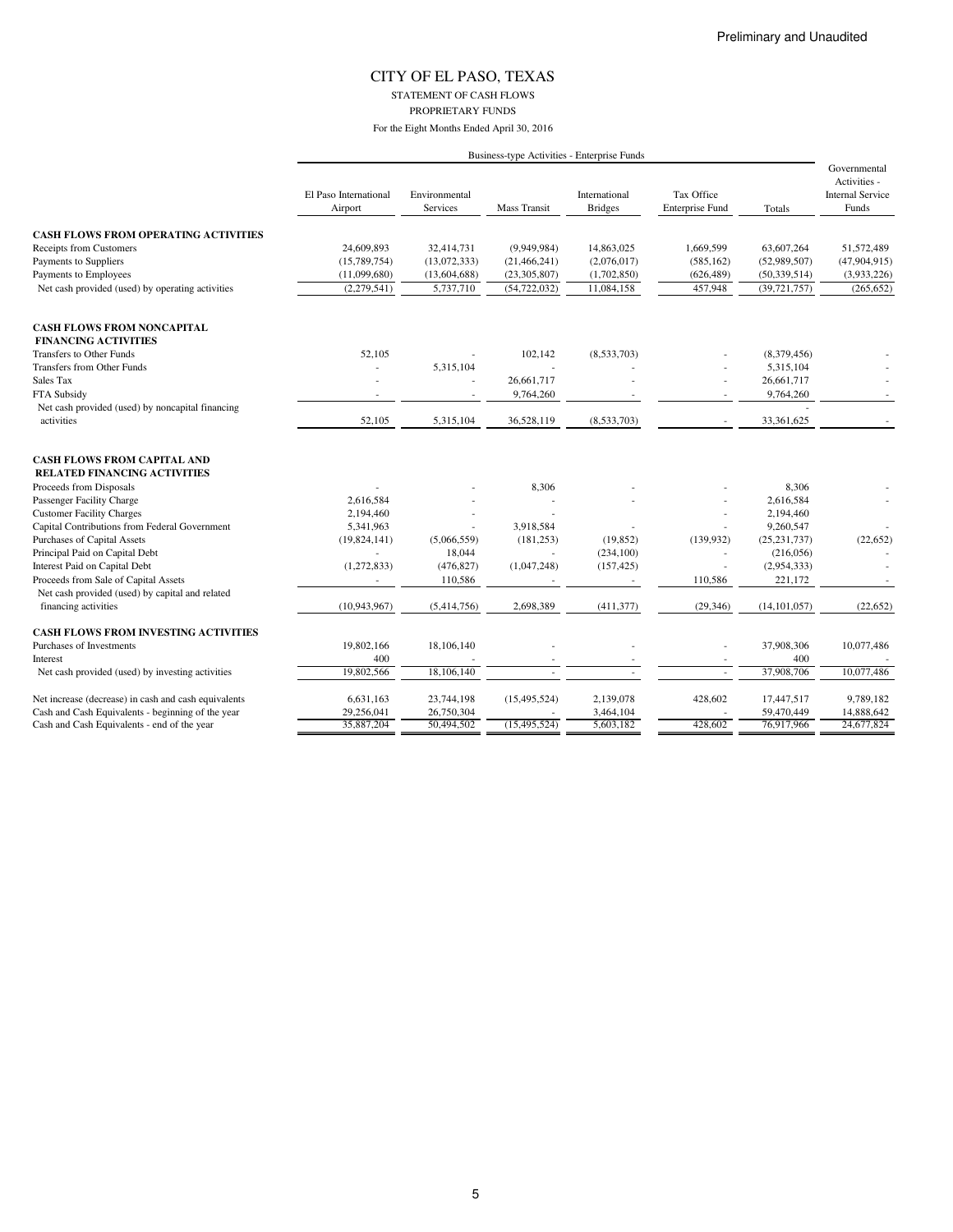STATEMENT OF CASH FLOWS

PROPRIETARY FUNDS

|                                                                           | Business-type Activities - Enterprise Funds |                                  |                     |                                 |                                      |                |                                                                  |
|---------------------------------------------------------------------------|---------------------------------------------|----------------------------------|---------------------|---------------------------------|--------------------------------------|----------------|------------------------------------------------------------------|
|                                                                           | El Paso International<br>Airport            | Environmental<br><b>Services</b> | <b>Mass Transit</b> | International<br><b>Bridges</b> | Tax Office<br><b>Enterprise Fund</b> | Totals         | Governmental<br>Activities -<br><b>Internal Service</b><br>Funds |
| <b>CASH FLOWS FROM OPERATING ACTIVITIES</b>                               |                                             |                                  |                     |                                 |                                      |                |                                                                  |
| <b>Receipts from Customers</b>                                            | 24,609,893                                  | 32,414,731                       | (9,949,984)         | 14,863,025                      | 1,669,599                            | 63,607,264     | 51,572,489                                                       |
| Payments to Suppliers                                                     | (15,789,754)                                | (13,072,333)                     | (21, 466, 241)      | (2,076,017)                     | (585, 162)                           | (52,989,507)   | (47,904,915)                                                     |
| Payments to Employees                                                     | (11,099,680)                                | (13,604,688)                     | (23,305,807)        | (1,702,850)                     | (626, 489)                           | (50, 339, 514) | (3,933,226)                                                      |
| Net cash provided (used) by operating activities                          | (2,279,541)                                 | 5,737,710                        | (54, 722, 032)      | 11,084,158                      | 457,948                              | (39, 721, 757) | (265, 652)                                                       |
| <b>CASH FLOWS FROM NONCAPITAL</b>                                         |                                             |                                  |                     |                                 |                                      |                |                                                                  |
| <b>FINANCING ACTIVITIES</b>                                               |                                             |                                  |                     |                                 |                                      |                |                                                                  |
| Transfers to Other Funds                                                  | 52,105                                      |                                  | 102,142             | (8,533,703)                     |                                      | (8,379,456)    |                                                                  |
| Transfers from Other Funds                                                |                                             | 5,315,104                        | ä,                  |                                 |                                      | 5,315,104      |                                                                  |
| Sales Tax                                                                 |                                             |                                  | 26,661,717          |                                 |                                      | 26,661,717     |                                                                  |
| FTA Subsidy                                                               |                                             |                                  | 9,764,260           |                                 |                                      | 9,764,260      |                                                                  |
| Net cash provided (used) by noncapital financing<br>activities            | 52,105                                      | 5,315,104                        | 36,528,119          | (8,533,703)                     |                                      | 33,361,625     |                                                                  |
| <b>CASH FLOWS FROM CAPITAL AND</b><br><b>RELATED FINANCING ACTIVITIES</b> |                                             |                                  |                     |                                 |                                      |                |                                                                  |
| Proceeds from Disposals                                                   |                                             |                                  | 8,306               |                                 |                                      | 8,306          |                                                                  |
| Passenger Facility Charge                                                 | 2,616,584                                   |                                  |                     |                                 |                                      | 2,616,584      |                                                                  |
| <b>Customer Facility Charges</b>                                          | 2,194,460                                   |                                  |                     |                                 |                                      | 2,194,460      |                                                                  |
| Capital Contributions from Federal Government                             | 5,341,963                                   |                                  | 3,918,584           |                                 |                                      | 9,260,547      |                                                                  |
| Purchases of Capital Assets                                               | (19,824,141)                                | (5,066,559)                      | (181, 253)          | (19, 852)                       | (139, 932)                           | (25, 231, 737) | (22, 652)                                                        |
| Principal Paid on Capital Debt                                            |                                             | 18,044                           |                     | (234, 100)                      |                                      | (216,056)      |                                                                  |
| Interest Paid on Capital Debt                                             | (1,272,833)                                 | (476, 827)                       | (1,047,248)         | (157, 425)                      |                                      | (2,954,333)    |                                                                  |
| Proceeds from Sale of Capital Assets                                      |                                             | 110,586                          |                     |                                 | 110,586                              | 221,172        |                                                                  |
| Net cash provided (used) by capital and related                           |                                             |                                  |                     |                                 |                                      |                |                                                                  |
| financing activities                                                      | (10,943,967)                                | (5,414,756)                      | 2,698,389           | (411, 377)                      | (29, 346)                            | (14, 101, 057) | (22, 652)                                                        |
| <b>CASH FLOWS FROM INVESTING ACTIVITIES</b>                               |                                             |                                  |                     |                                 |                                      |                |                                                                  |
| Purchases of Investments                                                  | 19,802,166                                  | 18,106,140                       |                     |                                 |                                      | 37,908,306     | 10,077,486                                                       |
| Interest                                                                  | 400                                         |                                  |                     |                                 |                                      | 400            |                                                                  |
| Net cash provided (used) by investing activities                          | 19,802,566                                  | 18,106,140                       |                     |                                 | $\overline{\phantom{a}}$             | 37,908,706     | 10,077,486                                                       |
| Net increase (decrease) in cash and cash equivalents                      | 6,631,163                                   | 23,744,198                       | (15, 495, 524)      | 2,139,078                       | 428,602                              | 17,447,517     | 9,789,182                                                        |
| Cash and Cash Equivalents - beginning of the year                         | 29,256,041                                  | 26,750,304                       |                     | 3,464,104                       |                                      | 59,470,449     | 14,888,642                                                       |
| Cash and Cash Equivalents - end of the year                               | 35,887,204                                  | 50,494,502                       | (15, 495, 524)      | 5,603,182                       | 428.602                              | 76,917,966     | 24,677,824                                                       |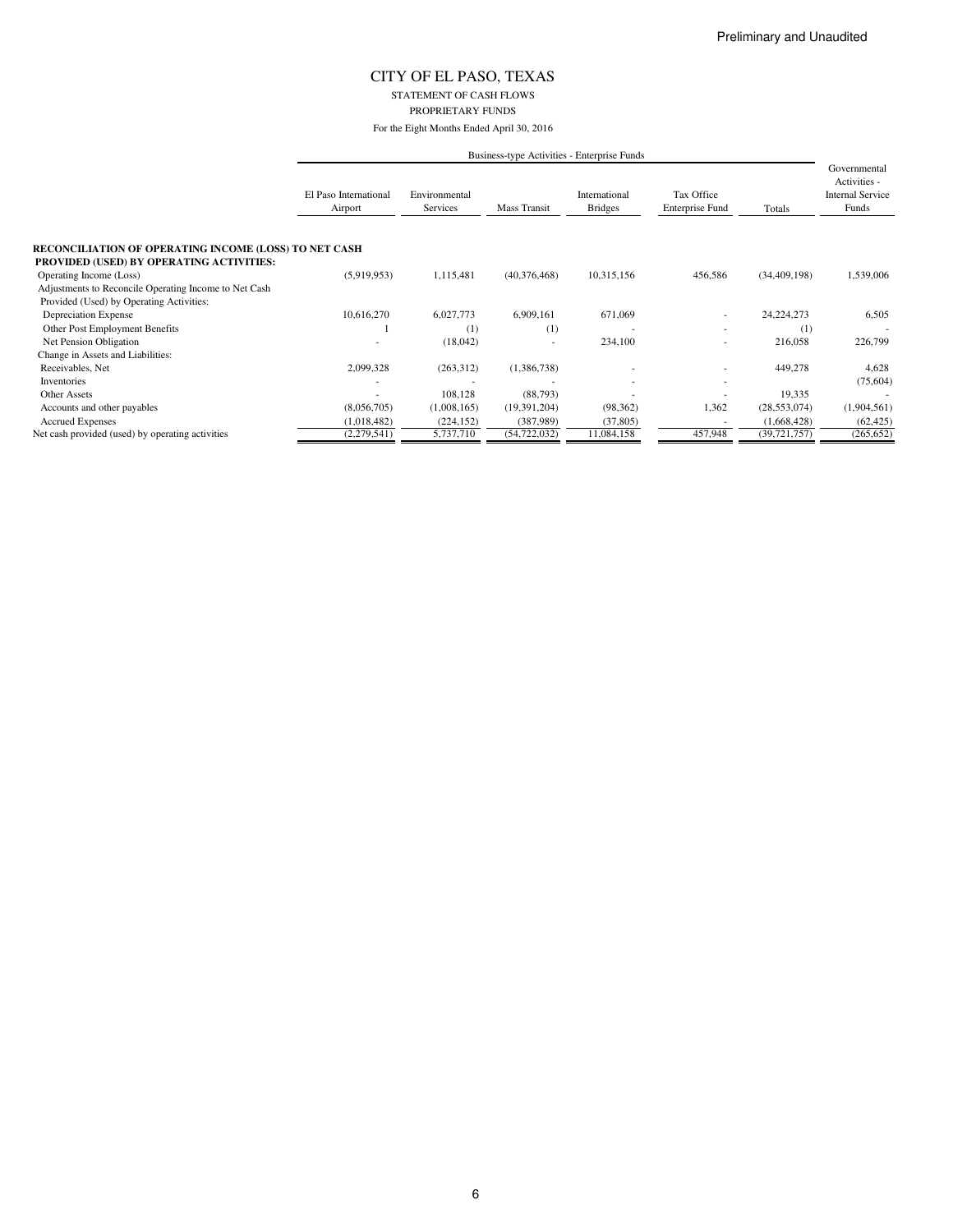STATEMENT OF CASH FLOWS PROPRIETARY FUNDS

|                                                                                                          | Business-type Activities - Enterprise Funds |                           |                |                                 |                                      |                |                                                                  |  |
|----------------------------------------------------------------------------------------------------------|---------------------------------------------|---------------------------|----------------|---------------------------------|--------------------------------------|----------------|------------------------------------------------------------------|--|
|                                                                                                          | El Paso International<br>Airport            | Environmental<br>Services | Mass Transit   | International<br><b>Bridges</b> | Tax Office<br><b>Enterprise Fund</b> | Totals         | Governmental<br>Activities -<br><b>Internal Service</b><br>Funds |  |
| RECONCILIATION OF OPERATING INCOME (LOSS) TO NET CASH<br><b>PROVIDED (USED) BY OPERATING ACTIVITIES:</b> |                                             |                           |                |                                 |                                      |                |                                                                  |  |
| Operating Income (Loss)                                                                                  | (5,919,953)                                 | 1,115,481                 | (40,376,468)   | 10,315,156                      | 456,586                              | (34, 409, 198) | 1,539,006                                                        |  |
| Adjustments to Reconcile Operating Income to Net Cash                                                    |                                             |                           |                |                                 |                                      |                |                                                                  |  |
| Provided (Used) by Operating Activities:                                                                 |                                             |                           |                |                                 |                                      |                |                                                                  |  |
| Depreciation Expense                                                                                     | 10,616,270                                  | 6,027,773                 | 6,909,161      | 671,069                         | ٠                                    | 24, 224, 273   | 6,505                                                            |  |
| Other Post Employment Benefits                                                                           |                                             | $\scriptstyle{(1)}$       | (1)            |                                 |                                      | (1)            |                                                                  |  |
| Net Pension Obligation                                                                                   |                                             | (18,042)                  |                | 234,100                         | $\sim$                               | 216,058        | 226,799                                                          |  |
| Change in Assets and Liabilities:                                                                        |                                             |                           |                |                                 |                                      |                |                                                                  |  |
| Receivables, Net                                                                                         | 2,099,328                                   | (263,312)                 | (1,386,738)    |                                 | ٠                                    | 449,278        | 4,628                                                            |  |
| Inventories                                                                                              |                                             |                           |                |                                 |                                      |                | (75, 604)                                                        |  |
| <b>Other Assets</b>                                                                                      |                                             | 108,128                   | (88, 793)      |                                 |                                      | 19,335         |                                                                  |  |
| Accounts and other payables                                                                              | (8,056,705)                                 | (1,008,165)               | (19,391,204)   | (98, 362)                       | 1,362                                | (28, 553, 074) | (1,904,561)                                                      |  |
| <b>Accrued Expenses</b>                                                                                  | (1,018,482)                                 | (224, 152)                | (387,989)      | (37, 805)                       |                                      | (1,668,428)    | (62, 425)                                                        |  |
| Net cash provided (used) by operating activities                                                         | (2,279,541)                                 | 5,737,710                 | (54, 722, 032) | 11,084,158                      | 457,948                              | (39, 721, 757) | (265, 652)                                                       |  |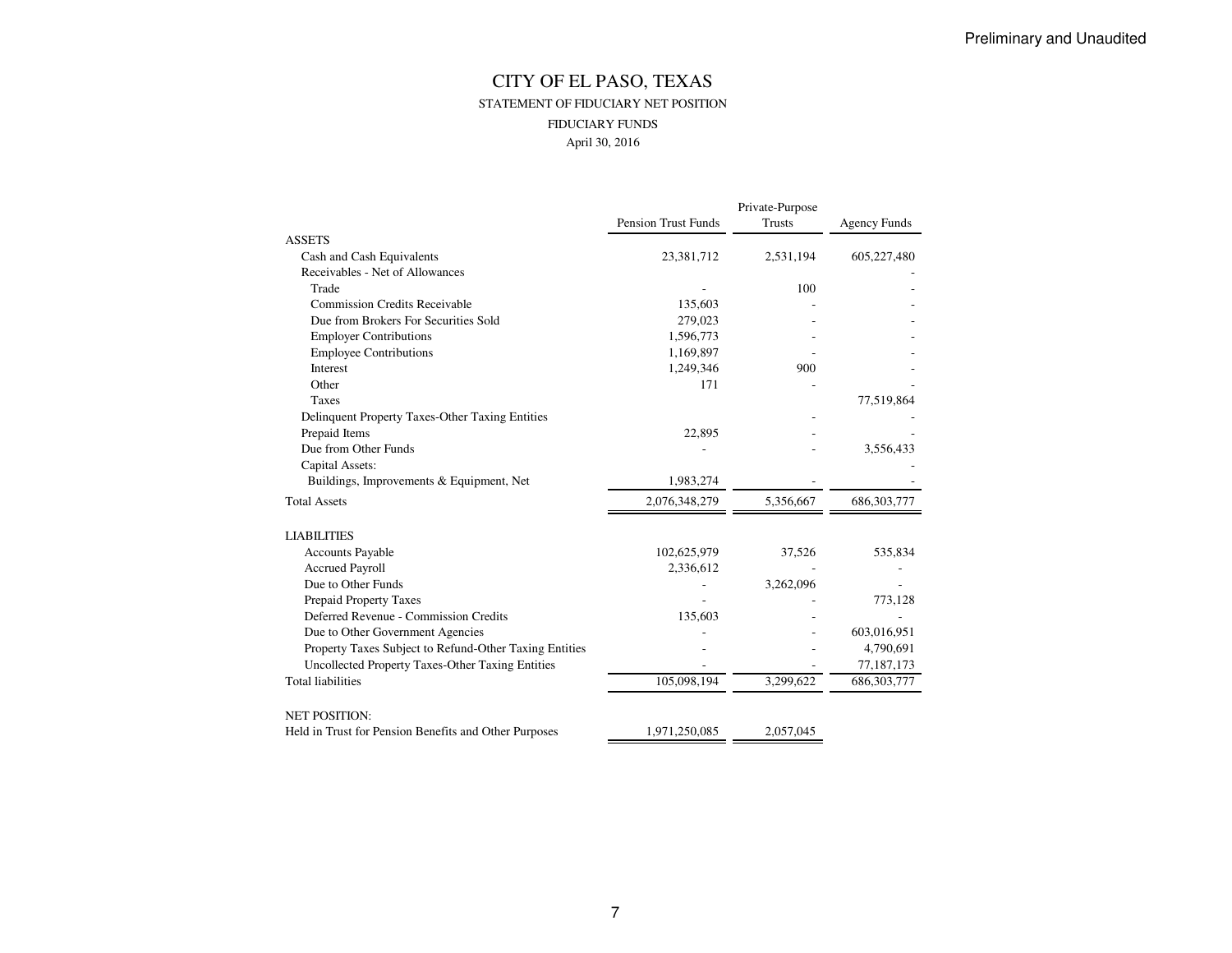## CITY OF EL PASO, TEXAS STATEMENT OF FIDUCIARY NET POSITIONFIDUCIARY FUNDSApril 30, 2016

|                                                        | Private-Purpose            |           |                     |  |  |  |  |
|--------------------------------------------------------|----------------------------|-----------|---------------------|--|--|--|--|
|                                                        | <b>Pension Trust Funds</b> | Trusts    | <b>Agency Funds</b> |  |  |  |  |
| <b>ASSETS</b>                                          |                            |           |                     |  |  |  |  |
| Cash and Cash Equivalents                              | 23,381,712                 | 2,531,194 | 605,227,480         |  |  |  |  |
| Receivables - Net of Allowances                        |                            |           |                     |  |  |  |  |
| Trade                                                  |                            | 100       |                     |  |  |  |  |
| <b>Commission Credits Receivable</b>                   | 135,603                    |           |                     |  |  |  |  |
| Due from Brokers For Securities Sold                   | 279,023                    |           |                     |  |  |  |  |
| <b>Employer Contributions</b>                          | 1,596,773                  |           |                     |  |  |  |  |
| <b>Employee Contributions</b>                          | 1,169,897                  |           |                     |  |  |  |  |
| Interest                                               | 1,249,346                  | 900       |                     |  |  |  |  |
| Other                                                  | 171                        |           |                     |  |  |  |  |
| Taxes                                                  |                            |           | 77,519,864          |  |  |  |  |
| Delinquent Property Taxes-Other Taxing Entities        |                            |           |                     |  |  |  |  |
| Prepaid Items                                          | 22,895                     |           |                     |  |  |  |  |
| Due from Other Funds                                   |                            |           | 3,556,433           |  |  |  |  |
| Capital Assets:                                        |                            |           |                     |  |  |  |  |
| Buildings, Improvements & Equipment, Net               | 1,983,274                  |           |                     |  |  |  |  |
| <b>Total Assets</b>                                    | 2,076,348,279              | 5,356,667 | 686, 303, 777       |  |  |  |  |
| <b>LIABILITIES</b>                                     |                            |           |                     |  |  |  |  |
| <b>Accounts Payable</b>                                | 102,625,979                | 37,526    | 535,834             |  |  |  |  |
| <b>Accrued Payroll</b>                                 | 2,336,612                  |           |                     |  |  |  |  |
| Due to Other Funds                                     |                            | 3,262,096 |                     |  |  |  |  |
| Prepaid Property Taxes                                 |                            |           | 773,128             |  |  |  |  |
| Deferred Revenue - Commission Credits                  | 135,603                    |           |                     |  |  |  |  |
| Due to Other Government Agencies                       |                            |           | 603,016,951         |  |  |  |  |
| Property Taxes Subject to Refund-Other Taxing Entities |                            |           | 4,790,691           |  |  |  |  |
| Uncollected Property Taxes-Other Taxing Entities       |                            |           | 77,187,173          |  |  |  |  |
| <b>Total liabilities</b>                               | 105,098,194                | 3,299,622 | 686, 303, 777       |  |  |  |  |
| <b>NET POSITION:</b>                                   |                            |           |                     |  |  |  |  |
| Held in Trust for Pension Benefits and Other Purposes  | 1.971.250.085              | 2,057,045 |                     |  |  |  |  |
|                                                        |                            |           |                     |  |  |  |  |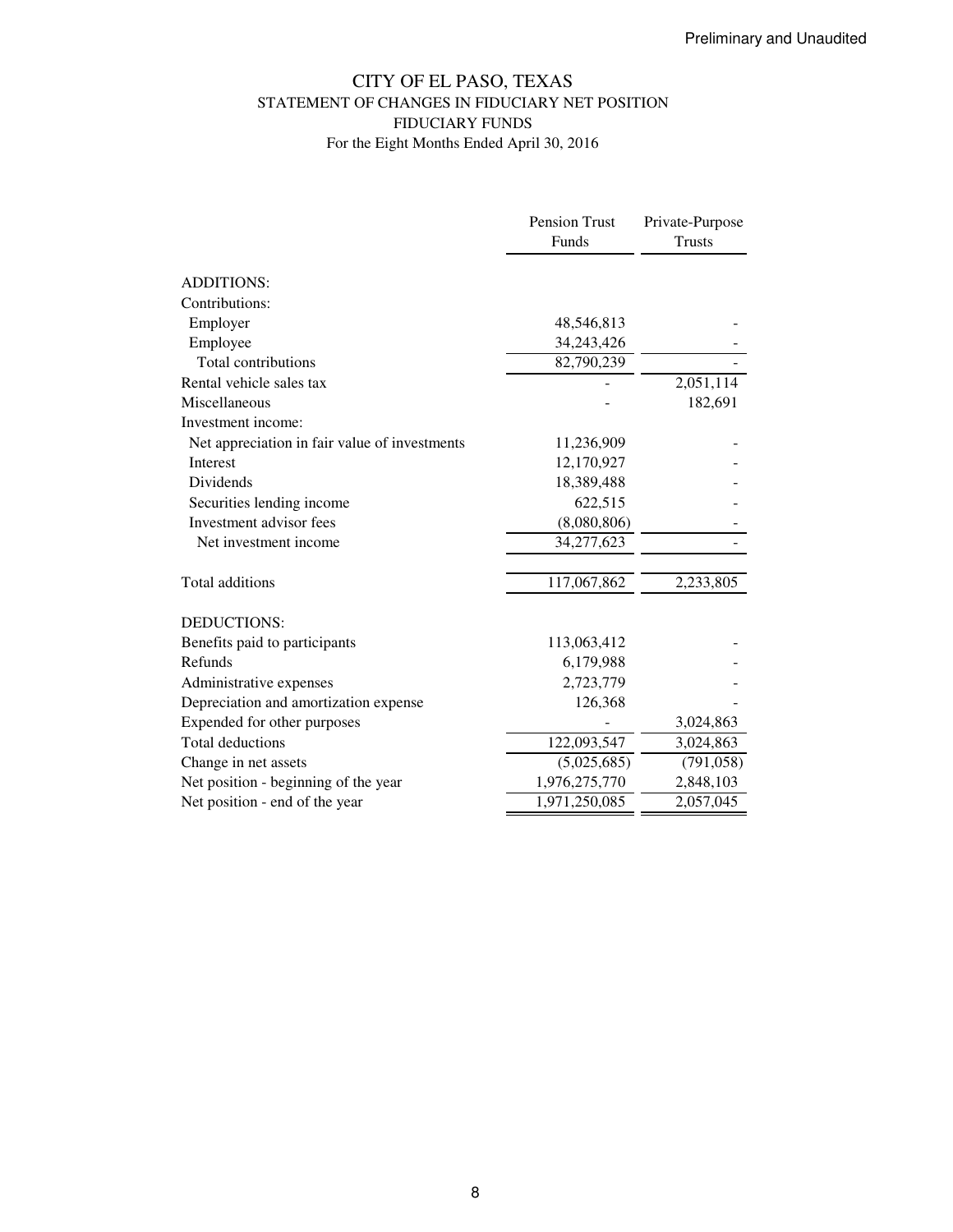# CITY OF EL PASO, TEXAS STATEMENT OF CHANGES IN FIDUCIARY NET POSITION FIDUCIARY FUNDS For the Eight Months Ended April 30, 2016

|                                               | Pension Trust | Private-Purpose |
|-----------------------------------------------|---------------|-----------------|
|                                               | Funds         | <b>Trusts</b>   |
|                                               |               |                 |
| <b>ADDITIONS:</b>                             |               |                 |
| Contributions:                                |               |                 |
| Employer                                      | 48,546,813    |                 |
| Employee                                      | 34,243,426    |                 |
| Total contributions                           | 82,790,239    |                 |
| Rental vehicle sales tax                      |               | 2,051,114       |
| Miscellaneous                                 |               | 182,691         |
| Investment income:                            |               |                 |
| Net appreciation in fair value of investments | 11,236,909    |                 |
| Interest                                      | 12,170,927    |                 |
| Dividends                                     | 18,389,488    |                 |
| Securities lending income                     | 622,515       |                 |
| Investment advisor fees                       | (8,080,806)   |                 |
| Net investment income                         | 34,277,623    |                 |
| Total additions                               | 117,067,862   | 2,233,805       |
| <b>DEDUCTIONS:</b>                            |               |                 |
| Benefits paid to participants                 | 113,063,412   |                 |
| Refunds                                       | 6,179,988     |                 |
| Administrative expenses                       | 2,723,779     |                 |
| Depreciation and amortization expense         | 126,368       |                 |
| Expended for other purposes                   |               | 3,024,863       |
| <b>Total deductions</b>                       | 122,093,547   | 3,024,863       |
| Change in net assets                          | (5,025,685)   | (791, 058)      |
| Net position - beginning of the year          | 1,976,275,770 | 2,848,103       |
| Net position - end of the year                | 1,971,250,085 | 2,057,045       |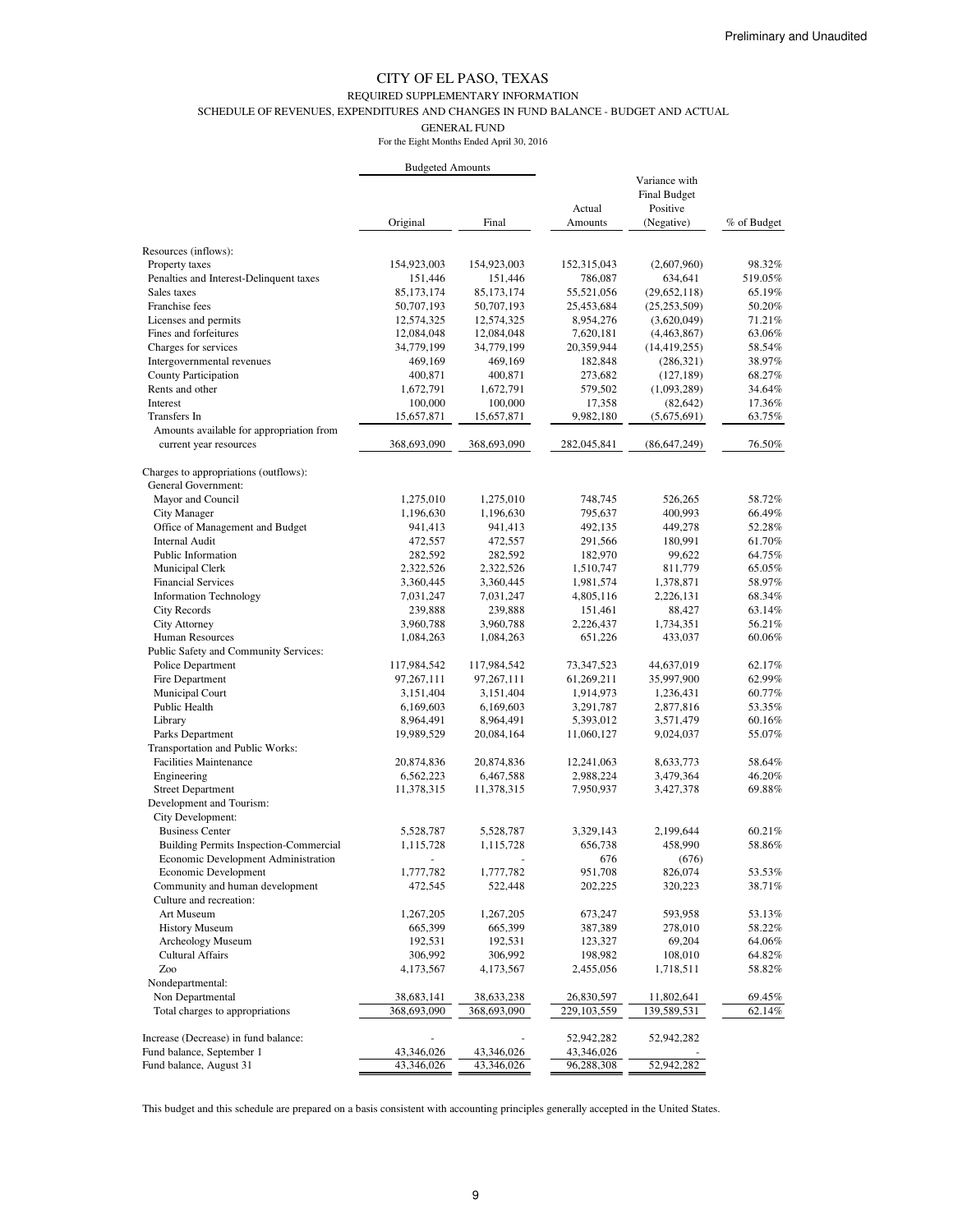#### REQUIRED SUPPLEMENTARY INFORMATION

SCHEDULE OF REVENUES, EXPENDITURES AND CHANGES IN FUND BALANCE - BUDGET AND ACTUAL

GENERAL FUND

| For the Eight Months Ended April 30, 2016 |  |
|-------------------------------------------|--|
|-------------------------------------------|--|

|                                                            | <b>Budgeted Amounts</b>   |                           |                           |                                                                |                  |
|------------------------------------------------------------|---------------------------|---------------------------|---------------------------|----------------------------------------------------------------|------------------|
|                                                            | Original                  | Final                     | Actual<br>Amounts         | Variance with<br><b>Final Budget</b><br>Positive<br>(Negative) | % of Budget      |
| Resources (inflows):                                       |                           |                           |                           |                                                                |                  |
| Property taxes                                             | 154,923,003               | 154,923,003               | 152,315,043               | (2,607,960)                                                    | 98.32%           |
| Penalties and Interest-Delinquent taxes                    | 151,446                   | 151,446                   | 786,087                   | 634,641                                                        | 519.05%          |
| Sales taxes                                                | 85, 173, 174              | 85, 173, 174              | 55,521,056                | (29,652,118)                                                   | 65.19%           |
| Franchise fees                                             | 50,707,193                | 50,707,193                | 25,453,684                | (25, 253, 509)                                                 | 50.20%           |
| Licenses and permits                                       | 12,574,325                | 12,574,325                | 8,954,276                 | (3,620,049)                                                    | 71.21%           |
| Fines and forfeitures                                      | 12,084,048                | 12,084,048                | 7,620,181                 | (4,463,867)                                                    | 63.06%           |
| Charges for services                                       | 34,779,199                | 34,779,199                | 20,359,944                | (14, 419, 255)                                                 | 58.54%           |
| Intergovernmental revenues                                 | 469,169                   | 469,169                   | 182,848                   | (286,321)                                                      | 38.97%           |
| <b>County Participation</b>                                | 400,871                   | 400,871                   | 273,682                   | (127, 189)                                                     | 68.27%           |
| Rents and other                                            | 1,672,791                 | 1,672,791                 | 579,502                   | (1,093,289)                                                    | 34.64%           |
| Interest                                                   | 100,000                   | 100,000                   | 17,358                    | (82, 642)                                                      | 17.36%           |
| Transfers In                                               | 15,657,871                | 15,657,871                | 9,982,180                 | (5,675,691)                                                    | 63.75%           |
| Amounts available for appropriation from                   |                           |                           |                           |                                                                |                  |
| current year resources                                     | 368,693,090               | 368,693,090               | 282,045,841               | (86, 647, 249)                                                 | 76.50%           |
| Charges to appropriations (outflows):                      |                           |                           |                           |                                                                |                  |
| General Government:                                        |                           |                           |                           |                                                                |                  |
| Mayor and Council                                          | 1,275,010                 | 1,275,010                 | 748,745                   | 526,265                                                        | 58.72%           |
| <b>City Manager</b>                                        | 1,196,630                 | 1,196,630                 | 795,637                   | 400,993                                                        | 66.49%           |
| Office of Management and Budget                            | 941,413                   | 941,413                   | 492,135                   | 449,278                                                        | 52.28%           |
| <b>Internal Audit</b>                                      | 472,557                   | 472,557                   | 291,566                   | 180,991                                                        | 61.70%           |
| Public Information                                         | 282,592                   | 282,592                   | 182,970                   | 99,622                                                         | 64.75%           |
| Municipal Clerk                                            | 2,322,526                 | 2,322,526                 | 1,510,747                 | 811,779                                                        | 65.05%           |
| <b>Financial Services</b>                                  | 3,360,445                 | 3,360,445                 | 1,981,574                 | 1,378,871                                                      | 58.97%           |
| <b>Information Technology</b>                              | 7,031,247                 | 7,031,247                 | 4,805,116                 | 2,226,131                                                      | 68.34%           |
| <b>City Records</b>                                        | 239,888                   | 239,888                   | 151,461                   | 88,427                                                         | 63.14%           |
| <b>City Attorney</b>                                       | 3,960,788                 | 3,960,788                 | 2,226,437                 | 1,734,351                                                      | 56.21%           |
| Human Resources                                            | 1,084,263                 | 1,084,263                 | 651,226                   | 433,037                                                        | 60.06%           |
| Public Safety and Community Services:                      |                           |                           |                           |                                                                |                  |
| Police Department                                          | 117,984,542               | 117,984,542               | 73,347,523                | 44,637,019                                                     | 62.17%           |
| Fire Department                                            | 97,267,111                | 97,267,111                | 61,269,211                | 35,997,900                                                     | 62.99%           |
| Municipal Court                                            | 3,151,404                 | 3,151,404                 | 1,914,973                 | 1,236,431                                                      | 60.77%           |
| Public Health                                              | 6,169,603                 | 6,169,603                 | 3,291,787                 | 2,877,816                                                      | 53.35%           |
| Library                                                    | 8,964,491                 | 8,964,491                 | 5,393,012                 | 3,571,479                                                      | 60.16%           |
| Parks Department                                           | 19,989,529                | 20,084,164                | 11,060,127                | 9,024,037                                                      | 55.07%           |
| Transportation and Public Works:                           |                           |                           |                           |                                                                |                  |
| <b>Facilities Maintenance</b>                              | 20,874,836                | 20,874,836                | 12,241,063                | 8,633,773                                                      | 58.64%           |
| Engineering                                                | 6,562,223                 | 6,467,588                 | 2,988,224                 | 3,479,364                                                      | 46.20%           |
| <b>Street Department</b>                                   | 11,378,315                | 11,378,315                | 7,950,937                 | 3,427,378                                                      | 69.88%           |
| Development and Tourism:                                   |                           |                           |                           |                                                                |                  |
| City Development:                                          |                           |                           |                           |                                                                |                  |
| <b>Business Center</b>                                     | 5,528,787                 | 5,528,787                 | 3,329,143                 | 2,199,644                                                      | 60.21%           |
| Building Permits Inspection-Commercial                     | 1,115,728                 | 1,115,728                 | 656,738                   | 458,990                                                        | 58.86%           |
| Economic Development Administration                        |                           |                           | 676                       | (676)                                                          |                  |
| Economic Development                                       | 1,777,782                 | 1,777,782                 | 951,708                   | 826,074                                                        | 53.53%           |
| Community and human development<br>Culture and recreation: | 472,545                   | 522,448                   | 202,225                   | 320,223                                                        | 38.71%           |
|                                                            |                           |                           |                           |                                                                |                  |
| Art Museum<br><b>History Museum</b>                        | 1,267,205                 | 1,267,205<br>665,399      | 673,247                   | 593,958                                                        | 53.13%           |
| Archeology Museum                                          | 665,399<br>192,531        | 192,531                   | 387,389                   | 278,010                                                        | 58.22%<br>64.06% |
| <b>Cultural Affairs</b>                                    | 306,992                   | 306,992                   | 123,327<br>198,982        | 69,204<br>108,010                                              | 64.82%           |
| Zoo                                                        |                           |                           |                           |                                                                |                  |
|                                                            | 4,173,567                 | 4,173,567                 | 2,455,056                 | 1,718,511                                                      | 58.82%           |
| Nondepartmental:                                           |                           |                           |                           |                                                                |                  |
| Non Departmental<br>Total charges to appropriations        | 38,683,141<br>368,693,090 | 38,633,238<br>368,693,090 | 26,830,597<br>229,103,559 | 11,802,641<br>139,589,531                                      | 69.45%<br>62.14% |
|                                                            |                           |                           |                           |                                                                |                  |
| Increase (Decrease) in fund balance:                       |                           |                           | 52,942,282                | 52,942,282                                                     |                  |
| Fund balance, September 1                                  | 43,346,026                | 43,346,026                | 43,346,026                |                                                                |                  |
| Fund balance, August 31                                    | 43,346,026                | 43,346,026                | 96,288,308                | 52,942,282                                                     |                  |

This budget and this schedule are prepared on a basis consistent with accounting principles generally accepted in the United States.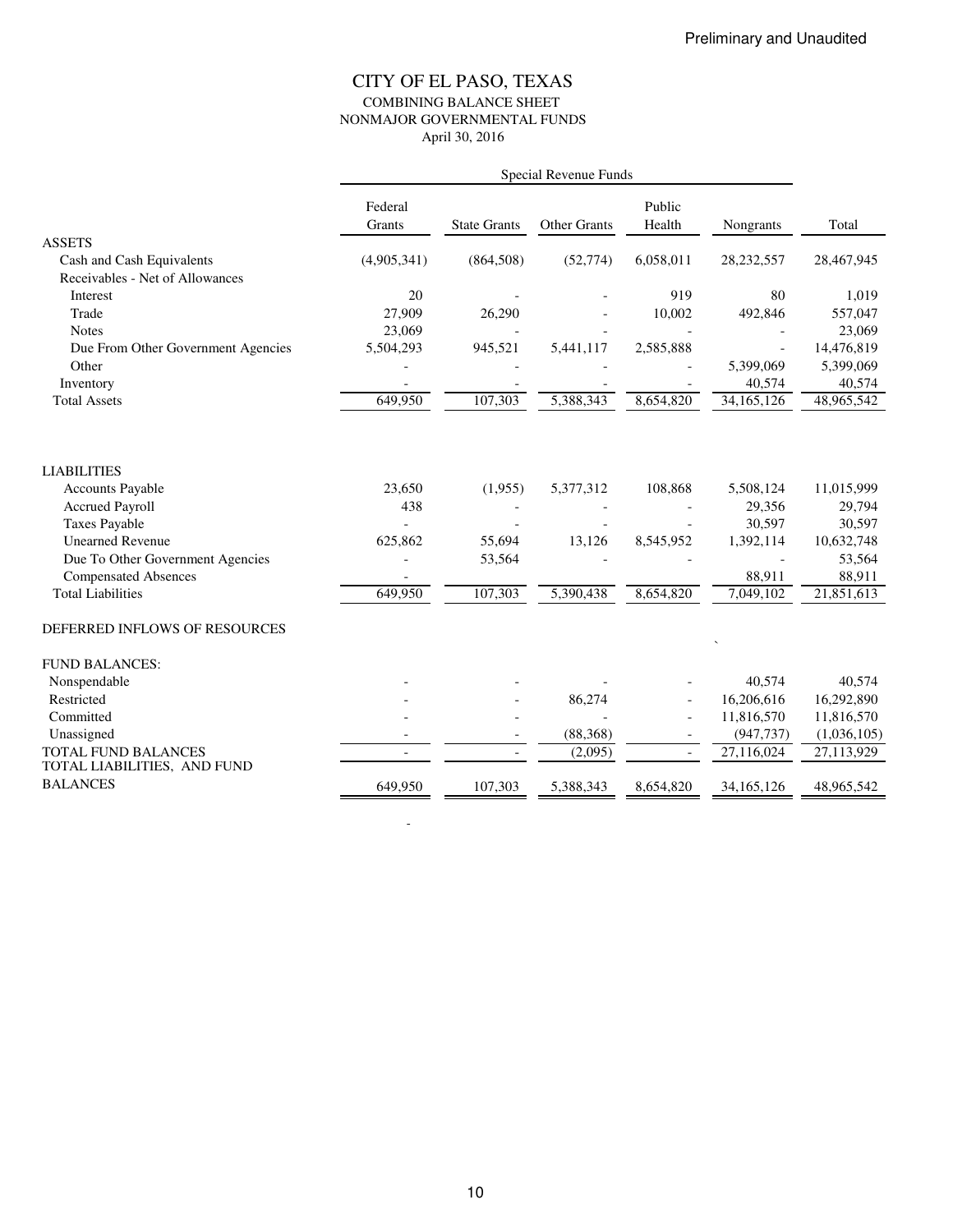### CITY OF EL PASO, TEXAS COMBINING BALANCE SHEET NONMAJOR GOVERNMENTAL FUNDS April 30, 2016

|                                    | Special Revenue Funds    |                          |              |                          |              |             |  |
|------------------------------------|--------------------------|--------------------------|--------------|--------------------------|--------------|-------------|--|
|                                    | Federal<br>Grants        | <b>State Grants</b>      | Other Grants | Public<br>Health         | Nongrants    | Total       |  |
| <b>ASSETS</b>                      |                          |                          |              |                          |              |             |  |
| Cash and Cash Equivalents          | (4,905,341)              | (864, 508)               | (52, 774)    | 6,058,011                | 28,232,557   | 28,467,945  |  |
| Receivables - Net of Allowances    |                          |                          |              |                          |              |             |  |
| Interest                           | 20                       |                          |              | 919                      | 80           | 1,019       |  |
| Trade                              | 27,909                   | 26,290                   |              | 10,002                   | 492,846      | 557,047     |  |
| <b>Notes</b>                       | 23,069                   |                          |              |                          |              | 23,069      |  |
| Due From Other Government Agencies | 5,504,293                | 945,521                  | 5,441,117    | 2,585,888                |              | 14,476,819  |  |
| Other                              |                          |                          |              |                          | 5.399.069    | 5,399,069   |  |
| Inventory                          |                          |                          |              |                          | 40,574       | 40,574      |  |
| <b>Total Assets</b>                | 649,950                  | 107,303                  | 5,388,343    | 8,654,820                | 34,165,126   | 48,965,542  |  |
| <b>LIABILITIES</b>                 |                          |                          |              |                          |              |             |  |
| <b>Accounts Payable</b>            | 23,650                   | (1,955)                  | 5,377,312    | 108,868                  | 5,508,124    | 11,015,999  |  |
| <b>Accrued Payroll</b>             | 438                      |                          |              |                          | 29,356       | 29,794      |  |
| <b>Taxes Payable</b>               |                          |                          |              |                          | 30,597       | 30,597      |  |
| <b>Unearned Revenue</b>            | 625,862                  | 55,694                   | 13,126       | 8,545,952                | 1,392,114    | 10,632,748  |  |
| Due To Other Government Agencies   |                          | 53,564                   |              |                          |              | 53,564      |  |
| <b>Compensated Absences</b>        |                          |                          |              |                          | 88,911       | 88,911      |  |
| <b>Total Liabilities</b>           | 649,950                  | 107,303                  | 5,390,438    | 8,654,820                | 7,049,102    | 21,851,613  |  |
| DEFERRED INFLOWS OF RESOURCES      |                          |                          |              |                          |              |             |  |
| <b>FUND BALANCES:</b>              |                          |                          |              |                          |              |             |  |
| Nonspendable                       |                          |                          |              |                          | 40,574       | 40,574      |  |
| Restricted                         |                          |                          | 86,274       |                          | 16,206,616   | 16,292,890  |  |
| Committed                          |                          |                          |              | $\overline{a}$           | 11,816,570   | 11,816,570  |  |
| Unassigned                         |                          |                          | (88, 368)    |                          | (947, 737)   | (1,036,105) |  |
| <b>TOTAL FUND BALANCES</b>         | $\overline{\phantom{a}}$ | $\overline{\phantom{a}}$ | (2,095)      | $\overline{\phantom{a}}$ | 27,116,024   | 27,113,929  |  |
| TOTAL LIABILITIES, AND FUND        |                          |                          |              |                          |              |             |  |
| <b>BALANCES</b>                    | 649,950                  | 107,303                  | 5,388,343    | 8,654,820                | 34, 165, 126 | 48,965,542  |  |

-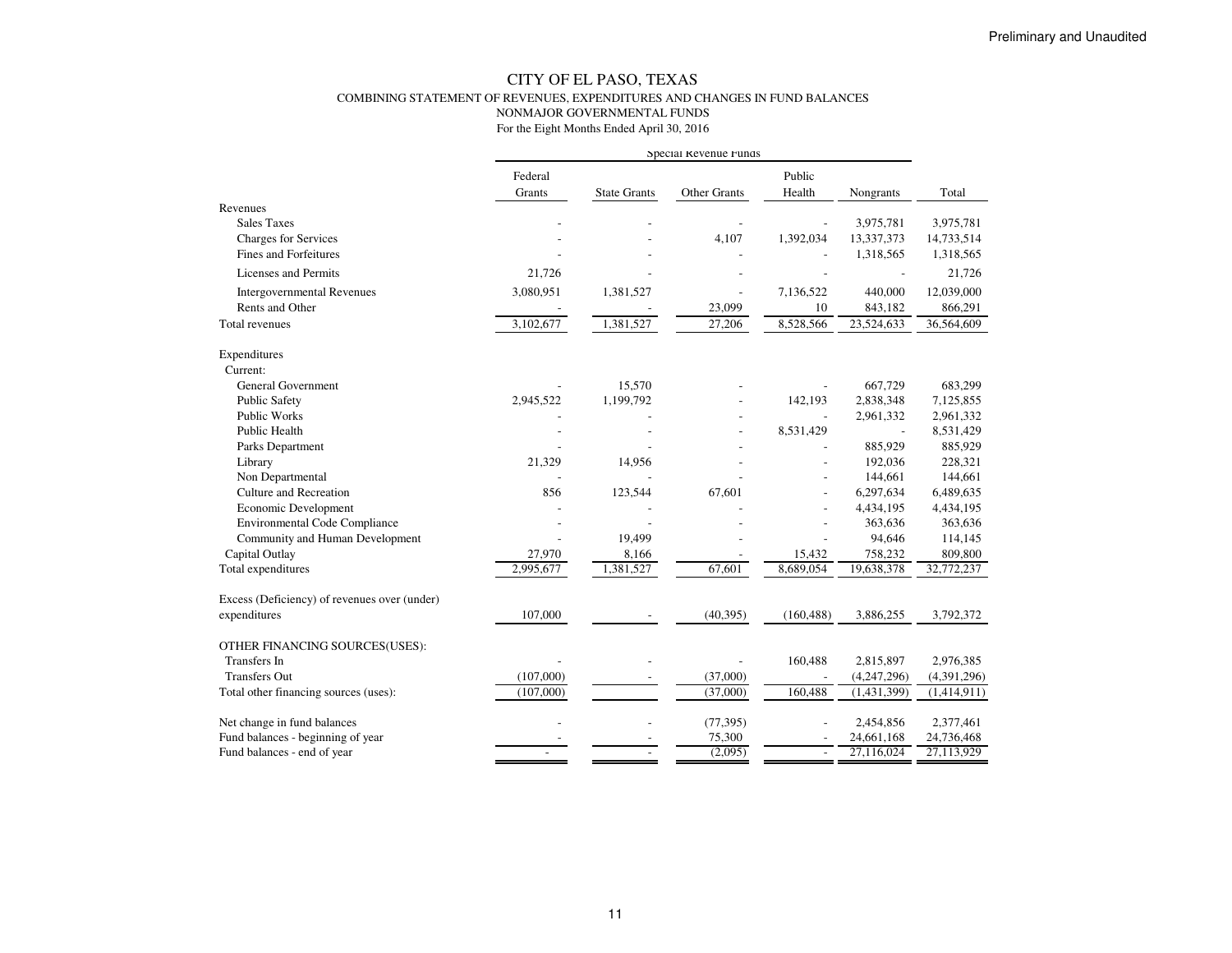#### CITY OF EL PASO, TEXAS COMBINING STATEMENT OF REVENUES, EXPENDITURES AND CHANGES IN FUND BALANCESNONMAJOR GOVERNMENTAL FUNDSFor the Eight Months Ended April 30, 2016

|                                              | Special Revenue runds |                     |              |                          |                |             |
|----------------------------------------------|-----------------------|---------------------|--------------|--------------------------|----------------|-------------|
|                                              | Federal<br>Grants     | <b>State Grants</b> | Other Grants | Public<br>Health         | Nongrants      | Total       |
| Revenues                                     |                       |                     |              |                          |                |             |
| <b>Sales Taxes</b>                           |                       |                     |              |                          | 3,975,781      | 3,975,781   |
| Charges for Services                         |                       |                     | 4,107        | 1,392,034                | 13,337,373     | 14,733,514  |
| Fines and Forfeitures                        |                       |                     |              |                          | 1,318,565      | 1,318,565   |
| Licenses and Permits                         | 21,726                |                     |              |                          |                | 21,726      |
| <b>Intergovernmental Revenues</b>            | 3,080,951             | 1,381,527           |              | 7,136,522                | 440,000        | 12,039,000  |
| Rents and Other                              |                       |                     | 23,099       | 10                       | 843,182        | 866,291     |
| Total revenues                               | 3,102,677             | 1,381,527           | 27,206       | 8,528,566                | 23,524,633     | 36,564,609  |
| Expenditures                                 |                       |                     |              |                          |                |             |
| Current:                                     |                       |                     |              |                          |                |             |
| <b>General Government</b>                    |                       | 15,570              |              |                          | 667,729        | 683,299     |
| <b>Public Safety</b>                         | 2,945,522             | 1,199,792           |              | 142,193                  | 2,838,348      | 7,125,855   |
| Public Works                                 |                       |                     |              | $\overline{a}$           | 2,961,332      | 2,961,332   |
| Public Health                                |                       |                     |              | 8,531,429                | $\overline{a}$ | 8,531,429   |
| Parks Department                             |                       |                     |              |                          | 885,929        | 885,929     |
| Library                                      | 21,329                | 14,956              |              |                          | 192,036        | 228,321     |
| Non Departmental                             |                       |                     |              |                          | 144,661        | 144,661     |
| Culture and Recreation                       | 856                   | 123,544             | 67,601       | $\overline{a}$           | 6,297,634      | 6,489,635   |
| Economic Development                         |                       |                     |              |                          | 4,434,195      | 4,434,195   |
| <b>Environmental Code Compliance</b>         |                       |                     |              |                          | 363,636        | 363,636     |
| Community and Human Development              |                       | 19,499              |              | $\overline{\phantom{a}}$ | 94,646         | 114,145     |
| Capital Outlay                               | 27,970                | 8,166               |              | 15,432                   | 758,232        | 809,800     |
| Total expenditures                           | 2,995,677             | 1,381,527           | 67,601       | 8,689,054                | 19,638,378     | 32,772,237  |
| Excess (Deficiency) of revenues over (under) |                       |                     |              |                          |                |             |
| expenditures                                 | 107,000               |                     | (40, 395)    | (160, 488)               | 3,886,255      | 3,792,372   |
| OTHER FINANCING SOURCES(USES):               |                       |                     |              |                          |                |             |
| <b>Transfers</b> In                          |                       |                     |              | 160,488                  | 2,815,897      | 2,976,385   |
| <b>Transfers Out</b>                         | (107,000)             |                     | (37,000)     | $\overline{\phantom{a}}$ | (4,247,296)    | (4,391,296) |
| Total other financing sources (uses):        | (107,000)             |                     | (37,000)     | 160,488                  | (1, 431, 399)  | (1,414,911) |
| Net change in fund balances                  |                       |                     | (77, 395)    |                          | 2,454,856      | 2,377,461   |
| Fund balances - beginning of year            |                       |                     | 75,300       |                          | 24,661,168     | 24,736,468  |
| Fund balances - end of year                  |                       |                     | (2,095)      | $\overline{\phantom{a}}$ | 27,116,024     | 27,113,929  |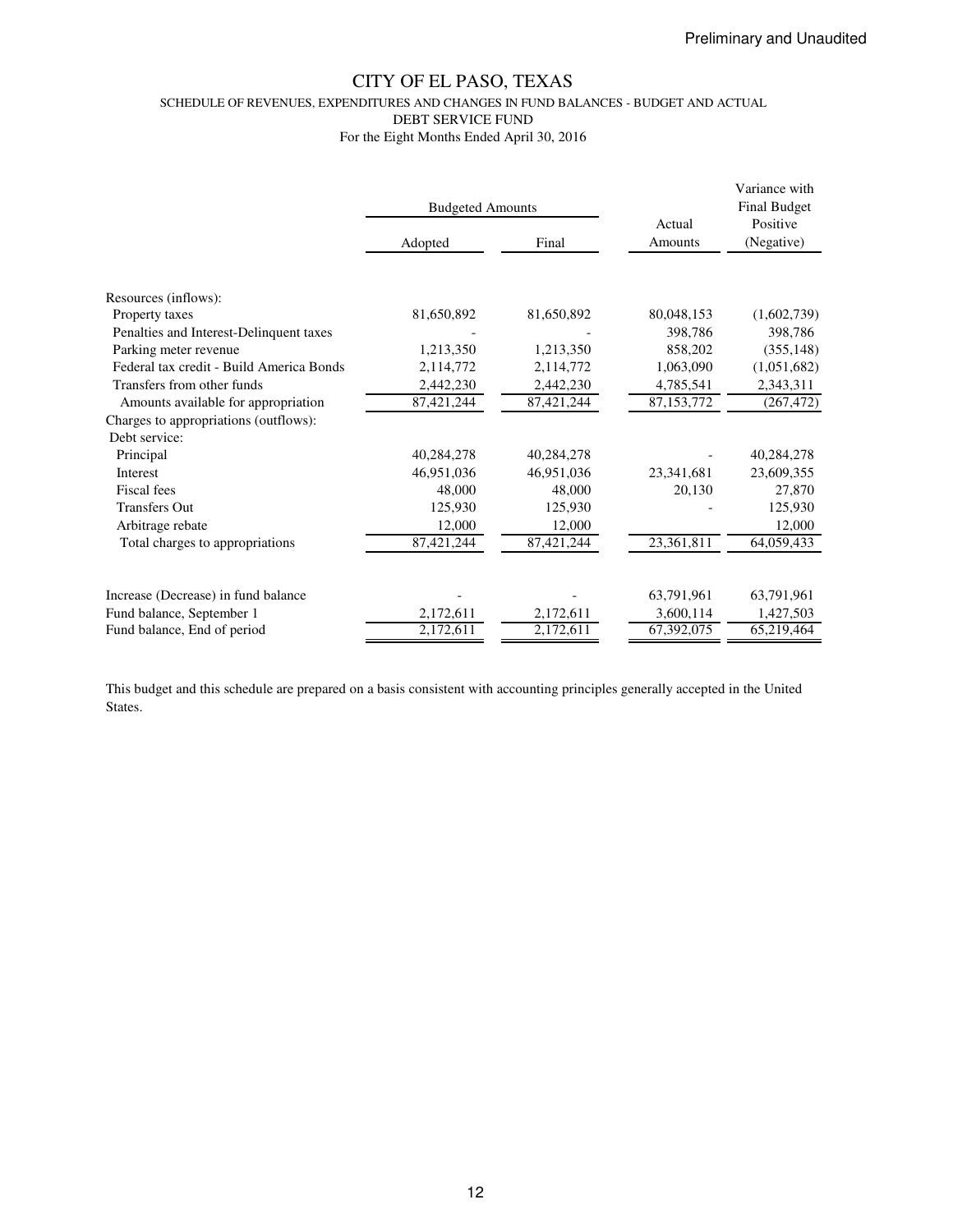SCHEDULE OF REVENUES, EXPENDITURES AND CHANGES IN FUND BALANCES - BUDGET AND ACTUAL

DEBT SERVICE FUND

For the Eight Months Ended April 30, 2016

|                                                                  | <b>Budgeted Amounts</b> |            |                    | Variance with<br><b>Final Budget</b> |  |
|------------------------------------------------------------------|-------------------------|------------|--------------------|--------------------------------------|--|
|                                                                  | Adopted                 | Final      | Actual<br>Amounts  | Positive<br>(Negative)               |  |
| Resources (inflows):                                             |                         |            |                    |                                      |  |
| Property taxes                                                   | 81,650,892              | 81,650,892 | 80,048,153         | (1,602,739)                          |  |
| Penalties and Interest-Delinquent taxes<br>Parking meter revenue | 1,213,350               | 1,213,350  | 398,786<br>858,202 | 398,786<br>(355, 148)                |  |
| Federal tax credit - Build America Bonds                         | 2,114,772               | 2,114,772  | 1,063,090          | (1,051,682)                          |  |
| Transfers from other funds                                       | 2,442,230               | 2,442,230  | 4,785,541          | 2,343,311                            |  |
| Amounts available for appropriation                              | 87,421,244              | 87,421,244 | 87,153,772         | (267, 472)                           |  |
| Charges to appropriations (outflows):                            |                         |            |                    |                                      |  |
| Debt service:                                                    |                         |            |                    |                                      |  |
| Principal                                                        | 40,284,278              | 40,284,278 |                    | 40,284,278                           |  |
| Interest                                                         | 46,951,036              | 46,951,036 | 23,341,681         | 23,609,355                           |  |
| Fiscal fees                                                      | 48,000                  | 48,000     | 20,130             | 27,870                               |  |
| <b>Transfers Out</b>                                             | 125,930                 | 125,930    |                    | 125,930                              |  |
| Arbitrage rebate                                                 | 12,000                  | 12,000     |                    | 12,000                               |  |
| Total charges to appropriations                                  | 87,421,244              | 87,421,244 | 23,361,811         | 64,059,433                           |  |
| Increase (Decrease) in fund balance                              |                         |            | 63,791,961         | 63,791,961                           |  |
| Fund balance, September 1                                        | 2,172,611               | 2,172,611  | 3,600,114          | 1,427,503                            |  |
| Fund balance, End of period                                      | 2,172,611               | 2,172,611  | 67,392,075         | 65,219,464                           |  |

This budget and this schedule are prepared on a basis consistent with accounting principles generally accepted in the United States.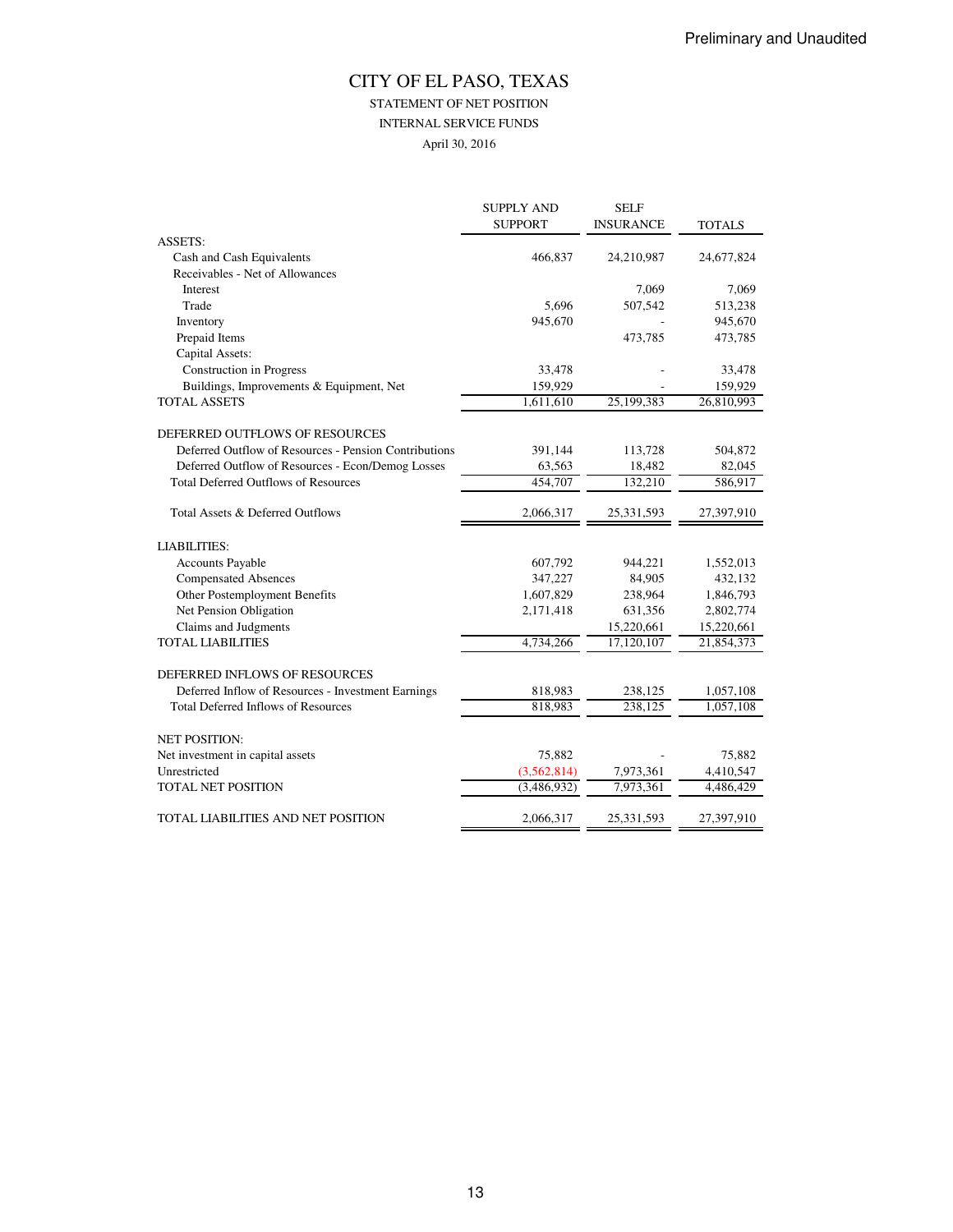# STATEMENT OF NET POSITION

INTERNAL SERVICE FUNDS

April 30, 2016

|                                                       | <b>SUPPLY AND</b> | <b>SELF</b>      |                    |
|-------------------------------------------------------|-------------------|------------------|--------------------|
|                                                       | <b>SUPPORT</b>    | <b>INSURANCE</b> | <b>TOTALS</b>      |
| <b>ASSETS:</b>                                        |                   |                  |                    |
| Cash and Cash Equivalents                             | 466,837           | 24,210,987       | 24,677,824         |
| Receivables - Net of Allowances                       |                   |                  |                    |
| Interest                                              |                   | 7,069            | 7,069              |
| Trade                                                 | 5.696             | 507,542          | 513,238            |
| Inventory                                             | 945,670           |                  | 945,670            |
| Prepaid Items                                         |                   | 473,785          | 473,785            |
| Capital Assets:                                       |                   |                  |                    |
| Construction in Progress                              | 33,478            |                  | 33,478             |
| Buildings, Improvements & Equipment, Net              | 159,929           |                  | 159,929            |
| <b>TOTAL ASSETS</b>                                   | 1,611,610         | 25,199,383       | 26,810,993         |
| DEFERRED OUTFLOWS OF RESOURCES                        |                   |                  |                    |
| Deferred Outflow of Resources - Pension Contributions | 391,144           | 113,728          | 504,872            |
| Deferred Outflow of Resources - Econ/Demog Losses     | 63,563            | 18,482           | 82,045             |
| <b>Total Deferred Outflows of Resources</b>           | 454,707           | 132,210          | 586,917            |
| Total Assets & Deferred Outflows                      | 2,066,317         | 25,331,593       | 27,397,910         |
| <b>LIABILITIES:</b>                                   |                   |                  |                    |
| <b>Accounts Payable</b>                               | 607,792           | 944,221          | 1,552,013          |
| <b>Compensated Absences</b>                           | 347,227           | 84,905           | 432,132            |
| Other Postemployment Benefits                         | 1,607,829         | 238,964          | 1,846,793          |
| Net Pension Obligation                                | 2,171,418         | 631,356          | 2,802,774          |
| Claims and Judgments                                  |                   | 15,220,661       | 15,220,661         |
| <b>TOTAL LIABILITIES</b>                              | 4,734,266         | 17,120,107       | 21,854,373         |
| DEFERRED INFLOWS OF RESOURCES                         |                   |                  |                    |
| Deferred Inflow of Resources - Investment Earnings    | 818,983           | 238,125          | 1,057,108          |
| <b>Total Deferred Inflows of Resources</b>            | 818,983           | 238,125          | 1,057,108          |
|                                                       |                   |                  |                    |
| <b>NET POSITION:</b>                                  |                   |                  |                    |
| Net investment in capital assets                      | 75,882            |                  | 75,882             |
| Unrestricted                                          | (3, 562, 814)     | 7,973,361        | 4,410,547          |
| TOTAL NET POSITION                                    | (3,486,932)       | 7,973,361        | $\sqrt{4,486,429}$ |
| TOTAL LIABILITIES AND NET POSITION                    | 2,066,317         | 25,331,593       | 27,397,910         |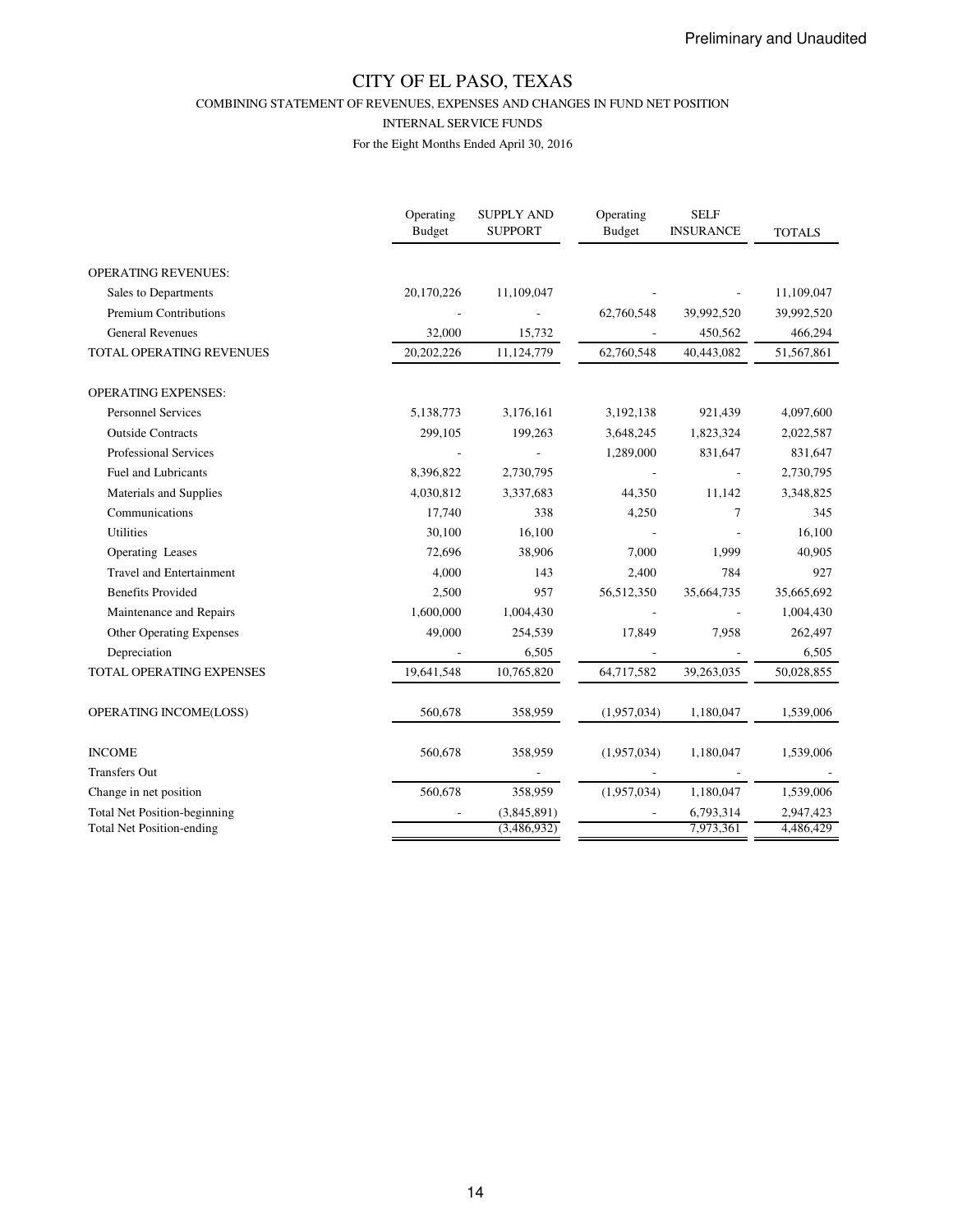COMBINING STATEMENT OF REVENUES, EXPENSES AND CHANGES IN FUND NET POSITION

#### INTERNAL SERVICE FUNDS

|                                     | Operating<br><b>Budget</b> | <b>SUPPLY AND</b><br><b>SUPPORT</b> | Operating<br><b>Budget</b> | <b>SELF</b><br><b>INSURANCE</b> | <b>TOTALS</b> |
|-------------------------------------|----------------------------|-------------------------------------|----------------------------|---------------------------------|---------------|
| <b>OPERATING REVENUES:</b>          |                            |                                     |                            |                                 |               |
| Sales to Departments                | 20,170,226                 | 11,109,047                          |                            |                                 | 11,109,047    |
| Premium Contributions               |                            |                                     | 62,760,548                 | 39,992,520                      | 39,992,520    |
| <b>General Revenues</b>             | 32,000                     | 15,732                              |                            | 450,562                         | 466,294       |
| TOTAL OPERATING REVENUES            | 20,202,226                 | 11,124,779                          | 62,760,548                 | 40,443,082                      | 51,567,861    |
| <b>OPERATING EXPENSES:</b>          |                            |                                     |                            |                                 |               |
| <b>Personnel Services</b>           | 5,138,773                  | 3,176,161                           | 3,192,138                  | 921,439                         | 4,097,600     |
| <b>Outside Contracts</b>            | 299,105                    | 199,263                             | 3,648,245                  | 1,823,324                       | 2,022,587     |
| <b>Professional Services</b>        |                            |                                     | 1,289,000                  | 831,647                         | 831,647       |
| <b>Fuel and Lubricants</b>          | 8,396,822                  | 2,730,795                           |                            |                                 | 2,730,795     |
| Materials and Supplies              | 4,030,812                  | 3,337,683                           | 44,350                     | 11,142                          | 3,348,825     |
| Communications                      | 17,740                     | 338                                 | 4,250                      | 7                               | 345           |
| Utilities                           | 30,100                     | 16,100                              |                            |                                 | 16,100        |
| <b>Operating Leases</b>             | 72,696                     | 38,906                              | 7,000                      | 1,999                           | 40,905        |
| <b>Travel and Entertainment</b>     | 4,000                      | 143                                 | 2,400                      | 784                             | 927           |
| <b>Benefits Provided</b>            | 2,500                      | 957                                 | 56,512,350                 | 35,664,735                      | 35,665,692    |
| Maintenance and Repairs             | 1,600,000                  | 1,004,430                           |                            |                                 | 1,004,430     |
| <b>Other Operating Expenses</b>     | 49,000                     | 254,539                             | 17,849                     | 7,958                           | 262,497       |
| Depreciation                        |                            | 6,505                               |                            |                                 | 6,505         |
| TOTAL OPERATING EXPENSES            | 19,641,548                 | 10,765,820                          | 64,717,582                 | 39,263,035                      | 50,028,855    |
| OPERATING INCOME(LOSS)              | 560,678                    | 358,959                             | (1,957,034)                | 1,180,047                       | 1,539,006     |
| <b>INCOME</b>                       | 560,678                    | 358,959                             | (1,957,034)                | 1,180,047                       | 1,539,006     |
| <b>Transfers Out</b>                |                            |                                     |                            |                                 |               |
| Change in net position              | 560,678                    | 358,959                             | (1,957,034)                | 1,180,047                       | 1,539,006     |
| <b>Total Net Position-beginning</b> |                            | (3,845,891)                         |                            | 6,793,314                       | 2,947,423     |
| <b>Total Net Position-ending</b>    |                            | (3,486,932)                         |                            | 7,973,361                       | 4,486,429     |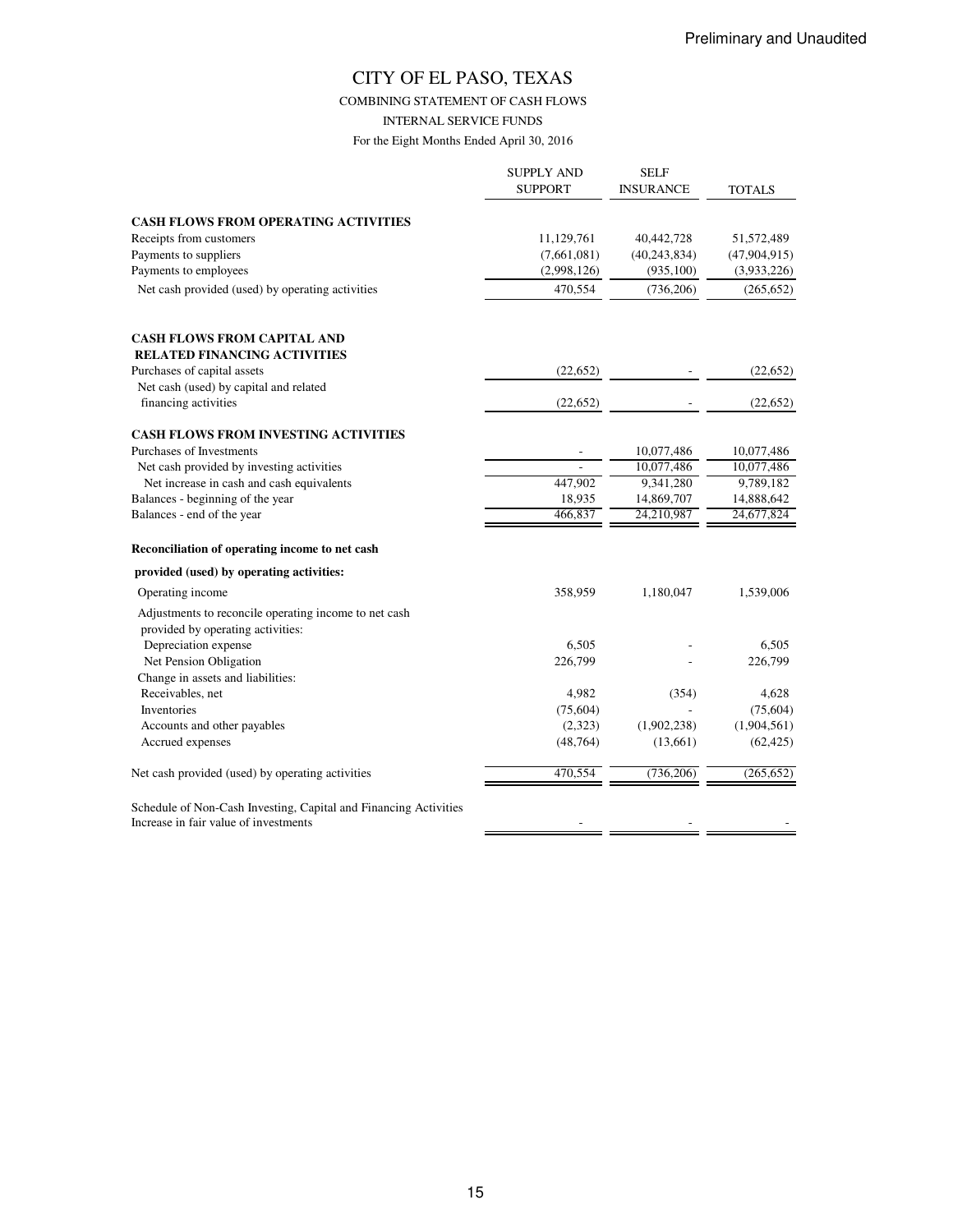COMBINING STATEMENT OF CASH FLOWS

INTERNAL SERVICE FUNDS

|                                                                                                           | <b>SUPPLY AND</b><br><b>SUPPORT</b> | <b>SELF</b><br><b>INSURANCE</b> | TOTALS         |
|-----------------------------------------------------------------------------------------------------------|-------------------------------------|---------------------------------|----------------|
| <b>CASH FLOWS FROM OPERATING ACTIVITIES</b>                                                               |                                     |                                 |                |
| Receipts from customers                                                                                   | 11,129,761                          | 40,442,728                      | 51,572,489     |
| Payments to suppliers                                                                                     | (7,661,081)                         | (40, 243, 834)                  | (47, 904, 915) |
| Payments to employees                                                                                     | (2,998,126)                         | (935, 100)                      | (3,933,226)    |
| Net cash provided (used) by operating activities                                                          | 470,554                             | (736, 206)                      | (265, 652)     |
| <b>CASH FLOWS FROM CAPITAL AND</b><br><b>RELATED FINANCING ACTIVITIES</b>                                 |                                     |                                 |                |
| Purchases of capital assets                                                                               | (22, 652)                           |                                 | (22, 652)      |
| Net cash (used) by capital and related                                                                    |                                     |                                 |                |
| financing activities                                                                                      | (22, 652)                           |                                 | (22, 652)      |
| CASH FLOWS FROM INVESTING ACTIVITIES                                                                      |                                     |                                 |                |
| Purchases of Investments                                                                                  |                                     | 10,077,486                      | 10,077,486     |
| Net cash provided by investing activities                                                                 |                                     | 10,077,486                      | 10,077,486     |
| Net increase in cash and cash equivalents                                                                 | 447,902                             | 9,341,280                       | 9,789,182      |
| Balances - beginning of the year                                                                          | 18,935                              | 14,869,707                      | 14,888,642     |
| Balances - end of the year                                                                                | 466,837                             | 24,210,987                      | 24,677,824     |
| Reconciliation of operating income to net cash                                                            |                                     |                                 |                |
| provided (used) by operating activities:                                                                  |                                     |                                 |                |
| Operating income                                                                                          | 358,959                             | 1,180,047                       | 1,539,006      |
| Adjustments to reconcile operating income to net cash<br>provided by operating activities:                |                                     |                                 |                |
| Depreciation expense                                                                                      | 6,505                               |                                 | 6,505          |
| Net Pension Obligation                                                                                    | 226,799                             |                                 | 226,799        |
| Change in assets and liabilities:                                                                         |                                     |                                 |                |
| Receivables, net                                                                                          | 4,982                               | (354)                           | 4,628          |
| Inventories                                                                                               | (75, 604)                           |                                 | (75,604)       |
| Accounts and other payables                                                                               | (2,323)                             | (1,902,238)                     | (1,904,561)    |
| Accrued expenses                                                                                          | (48, 764)                           | (13,661)                        | (62, 425)      |
| Net cash provided (used) by operating activities                                                          | 470,554                             | (736, 206)                      | (265, 652)     |
| Schedule of Non-Cash Investing, Capital and Financing Activities<br>Increase in fair value of investments |                                     |                                 |                |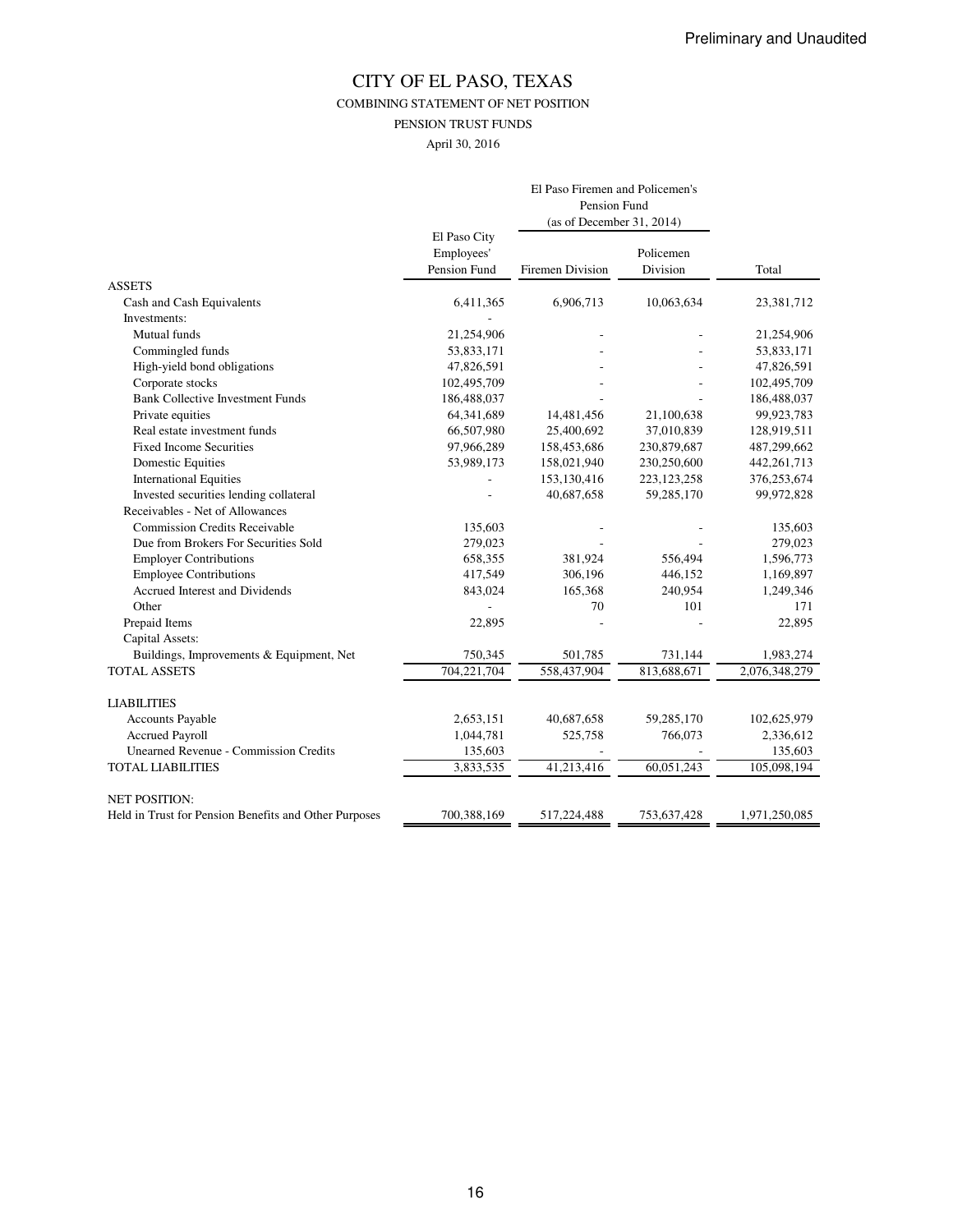COMBINING STATEMENT OF NET POSITION

PENSION TRUST FUNDS

April 30, 2016

|                                                       | El Paso Firemen and Policemen's<br>Pension Fund |                           |               |               |  |
|-------------------------------------------------------|-------------------------------------------------|---------------------------|---------------|---------------|--|
|                                                       |                                                 | (as of December 31, 2014) |               |               |  |
|                                                       | El Paso City                                    |                           |               |               |  |
|                                                       | Employees'                                      |                           | Policemen     |               |  |
|                                                       | Pension Fund                                    | Firemen Division          | Division      | Total         |  |
| <b>ASSETS</b>                                         |                                                 |                           |               |               |  |
| Cash and Cash Equivalents                             | 6,411,365                                       | 6,906,713                 | 10,063,634    | 23,381,712    |  |
| Investments:                                          |                                                 |                           |               |               |  |
| Mutual funds                                          | 21,254,906                                      |                           |               | 21,254,906    |  |
| Commingled funds                                      | 53,833,171                                      |                           |               | 53,833,171    |  |
| High-yield bond obligations                           | 47,826,591                                      |                           |               | 47,826,591    |  |
| Corporate stocks                                      | 102,495,709                                     |                           |               | 102,495,709   |  |
| <b>Bank Collective Investment Funds</b>               | 186,488,037                                     |                           |               | 186,488,037   |  |
| Private equities                                      | 64,341,689                                      | 14,481,456                | 21,100,638    | 99,923,783    |  |
| Real estate investment funds                          | 66,507,980                                      | 25,400,692                | 37,010,839    | 128,919,511   |  |
| <b>Fixed Income Securities</b>                        | 97,966,289                                      | 158,453,686               | 230,879,687   | 487,299,662   |  |
| <b>Domestic Equities</b>                              | 53,989,173                                      | 158,021,940               | 230,250,600   | 442, 261, 713 |  |
| <b>International Equities</b>                         |                                                 | 153,130,416               | 223, 123, 258 | 376,253,674   |  |
| Invested securities lending collateral                |                                                 | 40,687,658                | 59,285,170    | 99,972,828    |  |
| Receivables - Net of Allowances                       |                                                 |                           |               |               |  |
| <b>Commission Credits Receivable</b>                  | 135,603                                         |                           |               | 135,603       |  |
| Due from Brokers For Securities Sold                  | 279,023                                         |                           |               | 279,023       |  |
| <b>Employer Contributions</b>                         | 658,355                                         | 381,924                   | 556,494       | 1,596,773     |  |
| <b>Employee Contributions</b>                         | 417,549                                         | 306,196                   | 446,152       | 1,169,897     |  |
| Accrued Interest and Dividends                        | 843,024                                         | 165,368                   | 240,954       | 1,249,346     |  |
| Other                                                 |                                                 | 70                        | 101           | 171           |  |
| Prepaid Items                                         | 22,895                                          |                           |               | 22,895        |  |
| Capital Assets:                                       |                                                 |                           |               |               |  |
| Buildings, Improvements & Equipment, Net              | 750,345                                         | 501,785                   | 731,144       | 1,983,274     |  |
| <b>TOTAL ASSETS</b>                                   | 704,221,704                                     | 558,437,904               | 813,688,671   | 2,076,348,279 |  |
| <b>LIABILITIES</b>                                    |                                                 |                           |               |               |  |
| <b>Accounts Payable</b>                               | 2,653,151                                       | 40,687,658                | 59,285,170    | 102,625,979   |  |
| <b>Accrued Payroll</b>                                | 1,044,781                                       | 525,758                   | 766,073       | 2,336,612     |  |
| <b>Unearned Revenue - Commission Credits</b>          | 135,603                                         |                           |               | 135,603       |  |
| <b>TOTAL LIABILITIES</b>                              | 3,833,535                                       | 41,213,416                | 60,051,243    | 105,098,194   |  |
| <b>NET POSITION:</b>                                  |                                                 |                           |               |               |  |
| Held in Trust for Pension Benefits and Other Purposes | 700,388,169                                     | 517,224,488               | 753,637,428   | 1,971,250,085 |  |